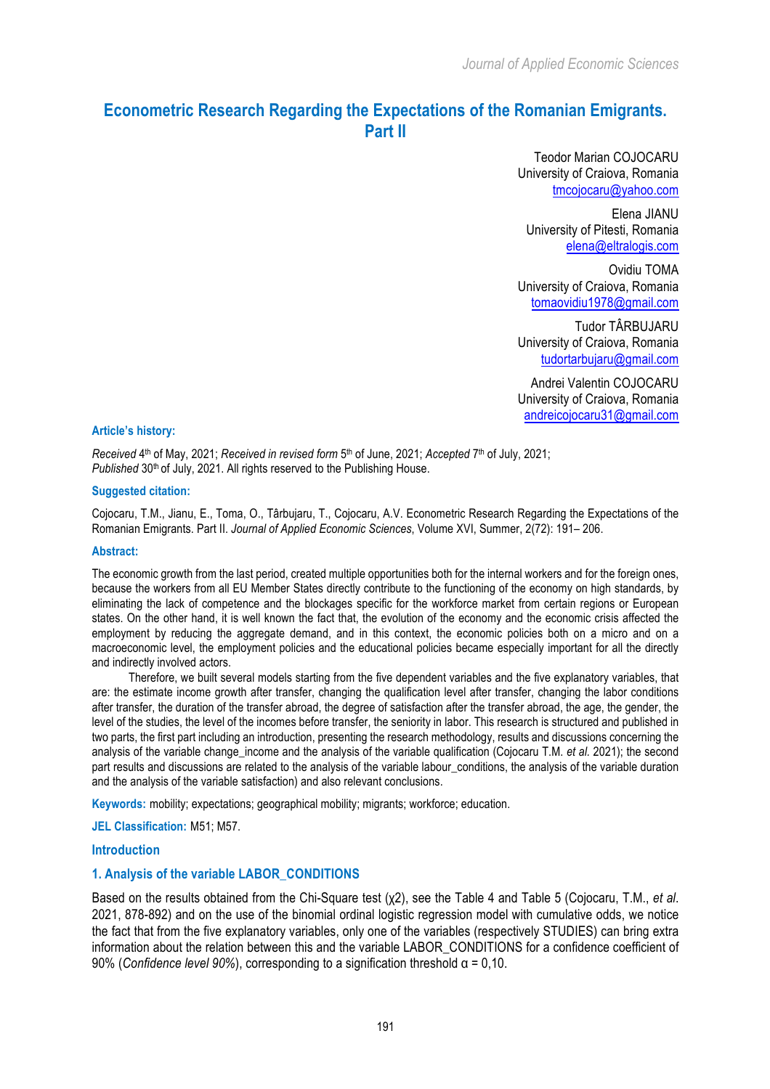# **Econometric Research Regarding the Expectations of the Romanian Emigrants. Part II**

Teodor Marian COJOCARU University of Craiova, Romania tmcojocaru@yahoo.com

Elena JIANU University of Pitesti, Romania elena@eltralogis.com

Ovidiu TOMA University of Craiova, Romania tomaovidiu1978@gmail.com

Tudor TÂRBUJARU University of Craiova, Romania tudortarbujaru@gmail.com

Andrei Valentin COJOCARU University of Craiova, Romania andreicojocaru31@gmail.com

#### **Article's history:**

*Received* 4th of May, 2021; *Received in revised form* 5th of June, 2021; *Accepted* 7th of July, 2021; Published 30<sup>th</sup> of July, 2021. All rights reserved to the Publishing House.

#### **Suggested citation:**

Cojocaru, T.M., Jianu, E., Toma, O., Târbujaru, T., Cojocaru, A.V. Econometric Research Regarding the Expectations of the Romanian Emigrants. Part II. *Journal of Applied Economic Sciences*, Volume XVI, Summer, 2(72): 191– 206.

#### **Abstract:**

The economic growth from the last period, created multiple opportunities both for the internal workers and for the foreign ones, because the workers from all EU Member States directly contribute to the functioning of the economy on high standards, by eliminating the lack of competence and the blockages specific for the workforce market from certain regions or European states. On the other hand, it is well known the fact that, the evolution of the economy and the economic crisis affected the employment by reducing the aggregate demand, and in this context, the economic policies both on a micro and on a macroeconomic level, the employment policies and the educational policies became especially important for all the directly and indirectly involved actors.

Therefore, we built several models starting from the five dependent variables and the five explanatory variables, that are: the estimate income growth after transfer, changing the qualification level after transfer, changing the labor conditions after transfer, the duration of the transfer abroad, the degree of satisfaction after the transfer abroad, the age, the gender, the level of the studies, the level of the incomes before transfer, the seniority in labor. This research is structured and published in two parts, the first part including an introduction, presenting the research methodology, results and discussions concerning the analysis of the variable change income and the analysis of the variable qualification (Cojocaru T.M. *et al.* 2021); the second part results and discussions are related to the analysis of the variable labour conditions, the analysis of the variable duration and the analysis of the variable satisfaction) and also relevant conclusions.

**Keywords:** mobility; expectations; geographical mobility; migrants; workforce; education.

**JEL Classification:** M51; M57.

### **Introduction**

## **1. Analysis of the variable LABOR\_CONDITIONS**

Based on the results obtained from the Chi-Square test (χ2), see the Table 4 and Table 5 (Cojocaru, T.M., *et al*. 2021, 878-892) and on the use of the binomial ordinal logistic regression model with cumulative odds, we notice the fact that from the five explanatory variables, only one of the variables (respectively STUDIES) can bring extra information about the relation between this and the variable LABOR\_CONDITIONS for a confidence coefficient of 90% (*Confidence level 90%*), corresponding to a signification threshold α = 0,10.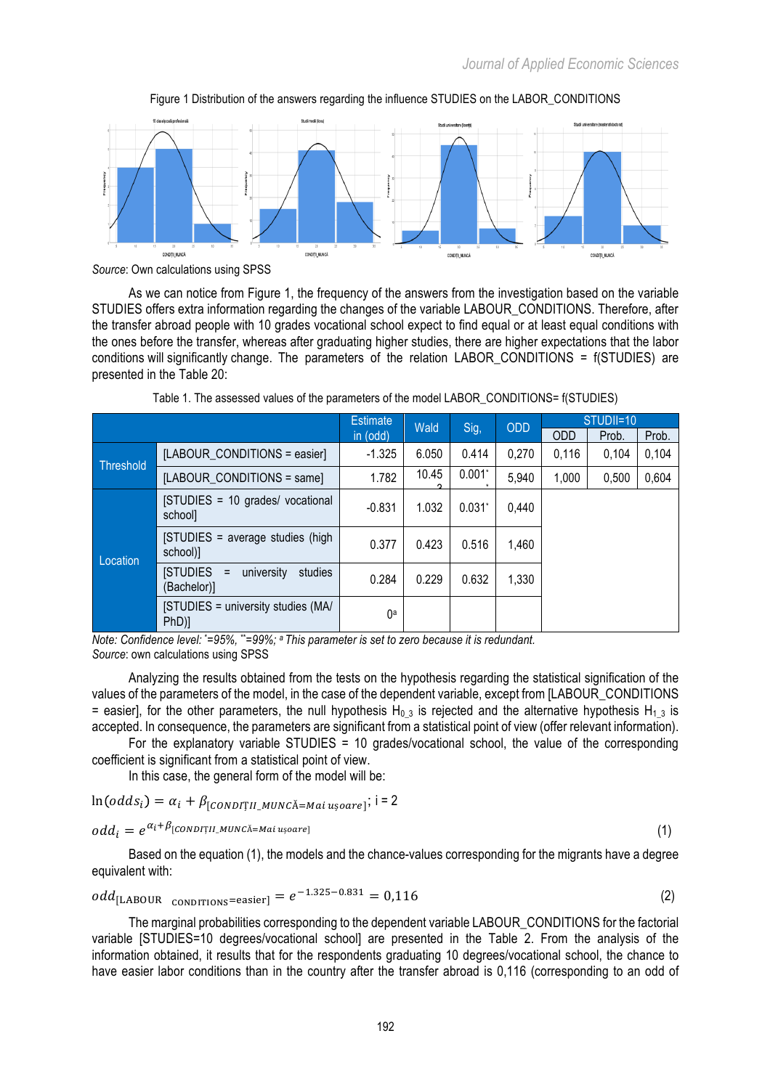

Figure 1 Distribution of the answers regarding the influence STUDIES on the LABOR\_CONDITIONS

As we can notice from Figure 1, the frequency of the answers from the investigation based on the variable STUDIES offers extra information regarding the changes of the variable LABOUR\_CONDITIONS. Therefore, after the transfer abroad people with 10 grades vocational school expect to find equal or at least equal conditions with the ones before the transfer, whereas after graduating higher studies, there are higher expectations that the labor conditions will significantly change. The parameters of the relation LABOR\_CONDITIONS = f(STUDIES) are presented in the Table 20:

|           |                                                                | Estimate | Wald  | Sig,     | <b>ODD</b> | STUDII=10  |       |       |
|-----------|----------------------------------------------------------------|----------|-------|----------|------------|------------|-------|-------|
|           |                                                                | in (odd) |       |          |            | <b>ODD</b> | Prob. | Prob. |
| Threshold | [LABOUR CONDITIONS = easier]                                   | $-1.325$ | 6.050 | 0.414    | 0,270      | 0.116      | 0.104 | 0,104 |
|           | [LABOUR CONDITIONS = same]                                     | 1.782    | 10.45 | $0.001*$ | 5,940      | 1,000      | 0,500 | 0,604 |
| Location  | [STUDIES = 10 grades/ vocational<br>school]                    | $-0.831$ | 1.032 | $0.031*$ | 0,440      |            |       |       |
|           | [STUDIES = average studies (high<br>school)]                   | 0.377    | 0.423 | 0.516    | 1,460      |            |       |       |
|           | <b>ISTUDIES</b><br>university<br>studies<br>$=$<br>(Bachelor)] | 0.284    | 0.229 | 0.632    | 1,330      |            |       |       |
|           | [STUDIES = university studies (MA/<br>$PhD$ ]                  | 0a       |       |          |            |            |       |       |

Table 1. The assessed values of the parameters of the model LABOR\_CONDITIONS= f(STUDIES)

*Note: Confidence level:* \* *=95%,* \*\**=99%; a This parameter is set to zero because it is redundant. Source*: own calculations using SPSS

Analyzing the results obtained from the tests on the hypothesis regarding the statistical signification of the values of the parameters of the model, in the case of the dependent variable, except from [LABOUR\_CONDITIONS = easier], for the other parameters, the null hypothesis H<sub>0</sub> 3 is rejected and the alternative hypothesis H<sub>1</sub> 3 is accepted. In consequence, the parameters are significant from a statistical point of view (offer relevant information).

For the explanatory variable STUDIES = 10 grades/vocational school, the value of the corresponding coefficient is significant from a statistical point of view.

In this case, the general form of the model will be:

$$
ln(odds_i) = \alpha_i + \beta_{[CONDT]I|_MUNC\text{\AA}=Mai\ ușoare]}; i = 2
$$

 $odd_i = e^{\alpha_i + \beta_{[CONDT]}}$ MUNCĂ=Mai ușoare] (1)

Based on the equation (1), the models and the chance-values corresponding for the migrants have a degree equivalent with:

$$
odd_{[LABOUR\hbox{ }\text{COMDITIONS}} = e^{-1.325 - 0.831} = 0.116 \tag{2}
$$

The marginal probabilities corresponding to the dependent variable LABOUR\_CONDITIONS for the factorial variable [STUDIES=10 degrees/vocational school] are presented in the Table 2. From the analysis of the information obtained, it results that for the respondents graduating 10 degrees/vocational school, the chance to have easier labor conditions than in the country after the transfer abroad is 0,116 (corresponding to an odd of

*Source*: Own calculations using SPSS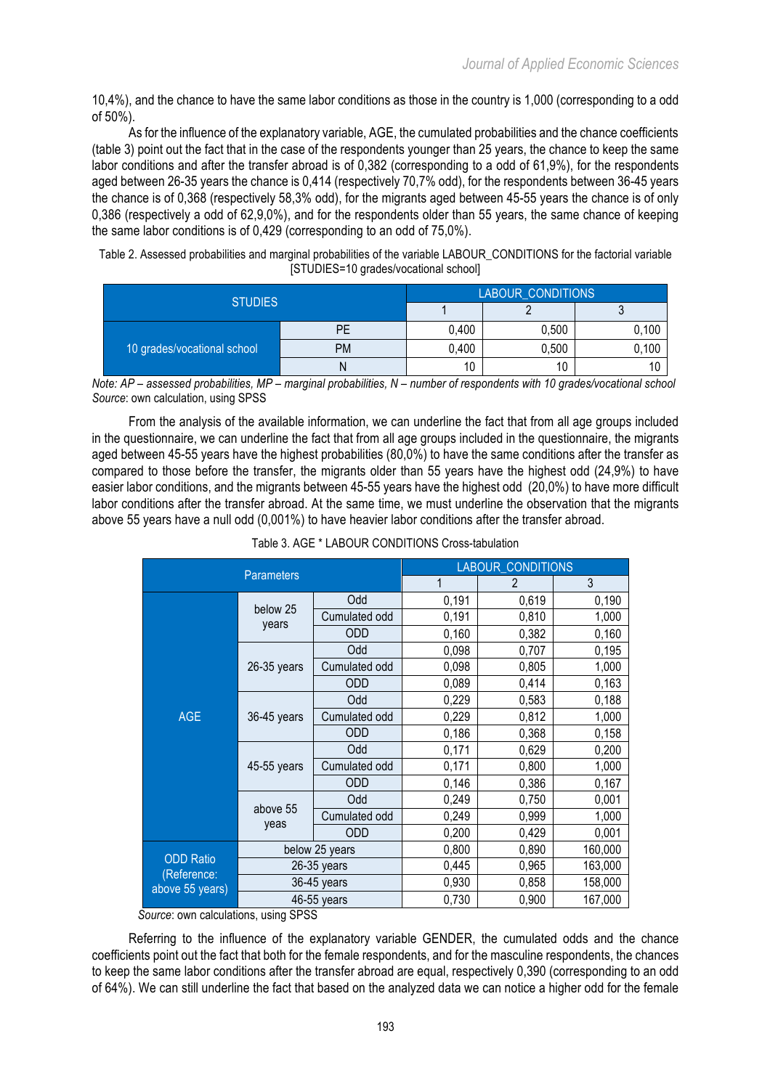10,4%), and the chance to have the same labor conditions as those in the country is 1,000 (corresponding to a odd of 50%).

As for the influence of the explanatory variable, AGE, the cumulated probabilities and the chance coefficients (table 3) point out the fact that in the case of the respondents younger than 25 years, the chance to keep the same labor conditions and after the transfer abroad is of 0,382 (corresponding to a odd of 61,9%), for the respondents aged between 26-35 years the chance is 0,414 (respectively 70,7% odd), for the respondents between 36-45 years the chance is of 0,368 (respectively 58,3% odd), for the migrants aged between 45-55 years the chance is of only 0,386 (respectively a odd of 62,9,0%), and for the respondents older than 55 years, the same chance of keeping the same labor conditions is of 0,429 (corresponding to an odd of 75,0%).

| Table 2. Assessed probabilities and marginal probabilities of the variable LABOUR_CONDITIONS for the factorial variable |  |
|-------------------------------------------------------------------------------------------------------------------------|--|
| [STUDIES=10 grades/vocational school]                                                                                   |  |

| <b>STUDIES</b>              | <b>LABOUR CONDITIONS</b> |       |       |       |  |
|-----------------------------|--------------------------|-------|-------|-------|--|
|                             |                          |       |       |       |  |
|                             | РE                       | 0,400 | 0,500 | 0,100 |  |
| 10 grades/vocational school | <b>PM</b>                | 0,400 | 0,500 | 0,100 |  |
|                             | N                        | 10    | 10    |       |  |

*Note: AP – assessed probabilities, MP – marginal probabilities, N – number of respondents with 10 grades/vocational school Source*: own calculation, using SPSS

From the analysis of the available information, we can underline the fact that from all age groups included in the questionnaire, we can underline the fact that from all age groups included in the questionnaire, the migrants aged between 45-55 years have the highest probabilities (80,0%) to have the same conditions after the transfer as compared to those before the transfer, the migrants older than 55 years have the highest odd (24,9%) to have easier labor conditions, and the migrants between 45-55 years have the highest odd (20,0%) to have more difficult labor conditions after the transfer abroad. At the same time, we must underline the observation that the migrants above 55 years have a null odd (0,001%) to have heavier labor conditions after the transfer abroad.

| <b>Parameters</b>               |                   |                | <b>LABOUR CONDITIONS</b> |                |         |  |
|---------------------------------|-------------------|----------------|--------------------------|----------------|---------|--|
| Odd                             |                   |                |                          | $\mathfrak{p}$ | 3       |  |
|                                 |                   |                | 0,191                    | 0,619          | 0,190   |  |
|                                 | below 25<br>years | Cumulated odd  | 0,191                    | 0,810          | 1,000   |  |
|                                 |                   | <b>ODD</b>     | 0,160                    | 0,382          | 0,160   |  |
|                                 |                   | Odd            | 0,098                    | 0,707          | 0,195   |  |
|                                 | 26-35 years       | Cumulated odd  | 0,098                    | 0,805          | 1,000   |  |
|                                 |                   | <b>ODD</b>     | 0,089                    | 0,414          | 0,163   |  |
|                                 | 36-45 years       | Odd            | 0,229                    | 0,583          | 0,188   |  |
| <b>AGE</b>                      |                   | Cumulated odd  | 0,229                    | 0,812          | 1,000   |  |
|                                 |                   | <b>ODD</b>     | 0,186                    | 0,368          | 0,158   |  |
|                                 | 45-55 years       | Odd            | 0,171                    | 0,629          | 0,200   |  |
|                                 |                   | Cumulated odd  | 0,171                    | 0,800          | 1,000   |  |
|                                 |                   | <b>ODD</b>     | 0,146                    | 0,386          | 0,167   |  |
|                                 | above 55<br>yeas  | Odd            | 0,249                    | 0,750          | 0,001   |  |
|                                 |                   | Cumulated odd  | 0,249                    | 0,999          | 1,000   |  |
|                                 |                   | <b>ODD</b>     | 0,200                    | 0,429          | 0,001   |  |
|                                 |                   | below 25 years | 0,800                    | 0,890          | 160,000 |  |
| <b>ODD Ratio</b><br>(Reference: |                   | 26-35 years    | 0,445                    | 0,965          | 163,000 |  |
| above 55 years)                 |                   | 36-45 years    | 0,930                    | 0,858          | 158,000 |  |
|                                 |                   | 46-55 years    | 0,730                    | 0,900          | 167,000 |  |

*Source*: own calculations, using SPSS

Referring to the influence of the explanatory variable GENDER, the cumulated odds and the chance coefficients point out the fact that both for the female respondents, and for the masculine respondents, the chances to keep the same labor conditions after the transfer abroad are equal, respectively 0,390 (corresponding to an odd of 64%). We can still underline the fact that based on the analyzed data we can notice a higher odd for the female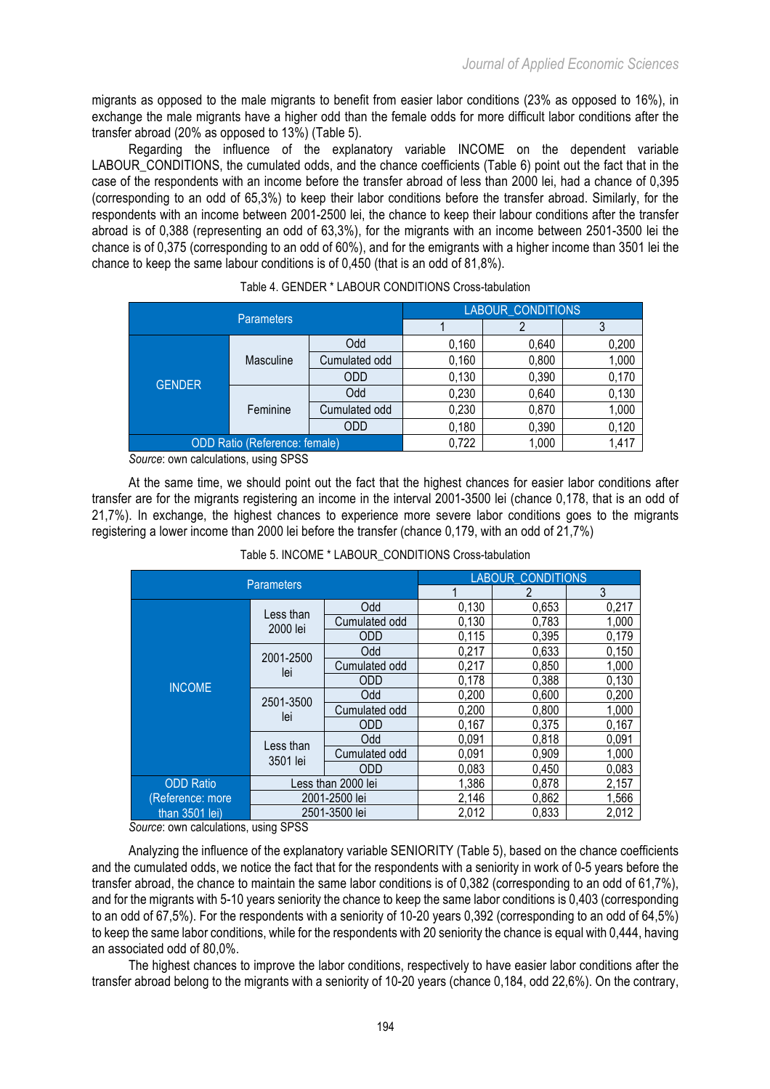migrants as opposed to the male migrants to benefit from easier labor conditions (23% as opposed to 16%), in exchange the male migrants have a higher odd than the female odds for more difficult labor conditions after the transfer abroad (20% as opposed to 13%) (Table 5).

Regarding the influence of the explanatory variable INCOME on the dependent variable LABOUR\_CONDITIONS, the cumulated odds, and the chance coefficients (Table 6) point out the fact that in the case of the respondents with an income before the transfer abroad of less than 2000 lei, had a chance of 0,395 (corresponding to an odd of 65,3%) to keep their labor conditions before the transfer abroad. Similarly, for the respondents with an income between 2001-2500 lei, the chance to keep their labour conditions after the transfer abroad is of 0,388 (representing an odd of 63,3%), for the migrants with an income between 2501-3500 lei the chance is of 0,375 (corresponding to an odd of 60%), and for the emigrants with a higher income than 3501 lei the chance to keep the same labour conditions is of 0,450 (that is an odd of 81,8%).

| <b>Parameters</b>                    |           |               | <b>LABOUR CONDITIONS</b> |       |       |  |  |
|--------------------------------------|-----------|---------------|--------------------------|-------|-------|--|--|
|                                      |           |               |                          |       |       |  |  |
|                                      |           |               | 0,160                    | 0,640 | 0,200 |  |  |
| <b>GENDER</b>                        | Masculine | Cumulated odd | 0,160                    | 0,800 | 1,000 |  |  |
|                                      |           | <b>ODD</b>    | 0,130                    | 0,390 | 0,170 |  |  |
|                                      | Feminine  | Odd           | 0,230                    | 0,640 | 0,130 |  |  |
|                                      |           | Cumulated odd | 0,230                    | 0,870 | 1,000 |  |  |
|                                      |           | <b>ODD</b>    | 0,180                    | 0,390 | 0,120 |  |  |
| <b>ODD Ratio (Reference: female)</b> |           |               | 0,722                    | 1,000 | 1,417 |  |  |

|  |  |  |  |  | Table 4. GENDER * LABOUR CONDITIONS Cross-tabulation |
|--|--|--|--|--|------------------------------------------------------|
|--|--|--|--|--|------------------------------------------------------|

*Source*: own calculations, using SPSS

At the same time, we should point out the fact that the highest chances for easier labor conditions after transfer are for the migrants registering an income in the interval 2001-3500 lei (chance 0,178, that is an odd of 21,7%). In exchange, the highest chances to experience more severe labor conditions goes to the migrants registering a lower income than 2000 lei before the transfer (chance 0,179, with an odd of 21,7%)

| <b>Parameters</b> |                    |               | <b>LABOUR CONDITIONS</b> |       |       |  |
|-------------------|--------------------|---------------|--------------------------|-------|-------|--|
|                   |                    |               |                          |       | 3     |  |
|                   | Less than          | Odd           | 0,130                    | 0,653 | 0,217 |  |
|                   | 2000 lei           | Cumulated odd | 0,130                    | 0,783 | 1,000 |  |
|                   |                    | <b>ODD</b>    | 0,115                    | 0,395 | 0,179 |  |
|                   | 2001-2500          | Odd           | 0,217                    | 0,633 | 0,150 |  |
|                   | lei                | Cumulated odd | 0,217                    | 0,850 | 1,000 |  |
| <b>INCOME</b>     |                    | <b>ODD</b>    | 0,178                    | 0,388 | 0,130 |  |
|                   | 2501-3500<br>lei   | Odd           | 0,200                    | 0,600 | 0,200 |  |
|                   |                    | Cumulated odd | 0,200                    | 0,800 | 1,000 |  |
|                   |                    | <b>ODD</b>    | 0,167                    | 0,375 | 0,167 |  |
|                   | Less than          | Odd           | 0,091                    | 0,818 | 0,091 |  |
|                   | 3501 lei           | Cumulated odd | 0,091                    | 0,909 | 1,000 |  |
|                   |                    | <b>ODD</b>    |                          | 0,450 | 0,083 |  |
| <b>ODD Ratio</b>  | Less than 2000 lei |               | 1,386                    | 0,878 | 2,157 |  |
| (Reference: more  |                    | 2001-2500 lei | 2,146                    | 0,862 | 1,566 |  |
| than 3501 lei)    |                    | 2501-3500 lei | 2,012                    | 0,833 | 2,012 |  |

Table 5. INCOME \* LABOUR\_CONDITIONS Cross-tabulation

*Source*: own calculations, using SPSS

Analyzing the influence of the explanatory variable SENIORITY (Table 5), based on the chance coefficients and the cumulated odds, we notice the fact that for the respondents with a seniority in work of 0-5 years before the transfer abroad, the chance to maintain the same labor conditions is of 0,382 (corresponding to an odd of 61,7%), and for the migrants with 5-10 years seniority the chance to keep the same labor conditions is 0,403 (corresponding to an odd of 67,5%). For the respondents with a seniority of 10-20 years 0,392 (corresponding to an odd of 64,5%) to keep the same labor conditions, while for the respondents with 20 seniority the chance is equal with 0,444, having an associated odd of 80,0%.

The highest chances to improve the labor conditions, respectively to have easier labor conditions after the transfer abroad belong to the migrants with a seniority of 10-20 years (chance 0,184, odd 22,6%). On the contrary,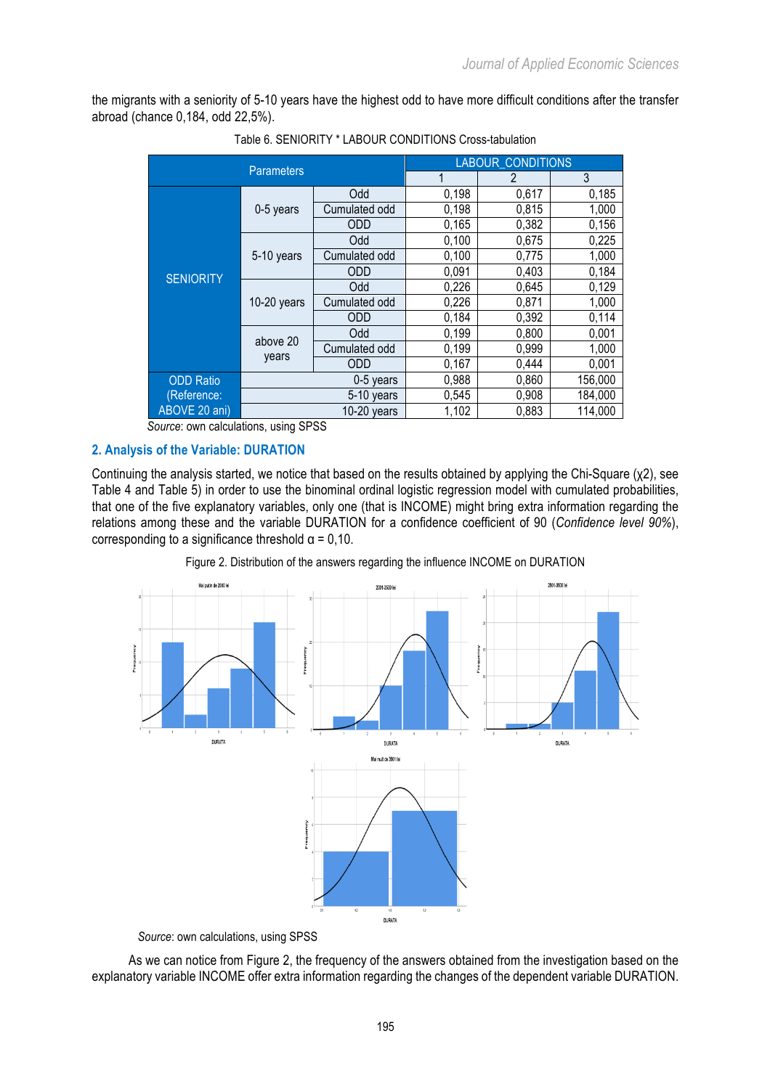the migrants with a seniority of 5-10 years have the highest odd to have more difficult conditions after the transfer abroad (chance 0,184, odd 22,5%).

|                  | <b>Parameters</b>         |               | <b>LABOUR CONDITIONS</b> |       |         |  |  |
|------------------|---------------------------|---------------|--------------------------|-------|---------|--|--|
|                  |                           |               | 1                        | 2     | 3       |  |  |
|                  |                           | Odd           | 0,198                    | 0,617 | 0,185   |  |  |
|                  | 0-5 years                 | Cumulated odd | 0,198                    | 0,815 | 1,000   |  |  |
|                  |                           | <b>ODD</b>    | 0,165                    | 0,382 | 0,156   |  |  |
|                  |                           | Odd           | 0,100                    | 0,675 | 0,225   |  |  |
|                  | 5-10 years                | Cumulated odd | 0,100                    | 0,775 | 1,000   |  |  |
| <b>SENIORITY</b> |                           | <b>ODD</b>    | 0,091                    | 0,403 | 0,184   |  |  |
|                  | $10-20$ years<br>above 20 | Odd           | 0,226                    | 0,645 | 0,129   |  |  |
|                  |                           | Cumulated odd | 0,226                    | 0,871 | 1,000   |  |  |
|                  |                           | <b>ODD</b>    | 0,184                    | 0,392 | 0,114   |  |  |
|                  |                           | Odd           | 0,199                    | 0,800 | 0,001   |  |  |
|                  |                           | Cumulated odd | 0,199                    | 0,999 | 1,000   |  |  |
|                  | years                     | <b>ODD</b>    | 0,167                    | 0,444 | 0,001   |  |  |
| <b>ODD Ratio</b> | 0-5 years                 |               | 0,988                    | 0,860 | 156,000 |  |  |
| (Reference:      |                           | 5-10 years    | 0,545                    | 0,908 | 184,000 |  |  |
| ABOVE 20 ani)    |                           | $10-20$ years | 1,102                    | 0,883 | 114,000 |  |  |

Table 6. SENIORITY \* LABOUR CONDITIONS Cross-tabulation

*Source*: own calculations, using SPSS

# **2. Analysis of the Variable: DURATION**

Continuing the analysis started, we notice that based on the results obtained by applying the Chi-Square (χ2), see Table 4 and Table 5) in order to use the binominal ordinal logistic regression model with cumulated probabilities, that one of the five explanatory variables, only one (that is INCOME) might bring extra information regarding the relations among these and the variable DURATION for a confidence coefficient of 90 (*Confidence level 90%*), corresponding to a significance threshold  $\alpha = 0,10$ .





*Source*: own calculations, using SPSS

As we can notice from Figure 2, the frequency of the answers obtained from the investigation based on the explanatory variable INCOME offer extra information regarding the changes of the dependent variable DURATION.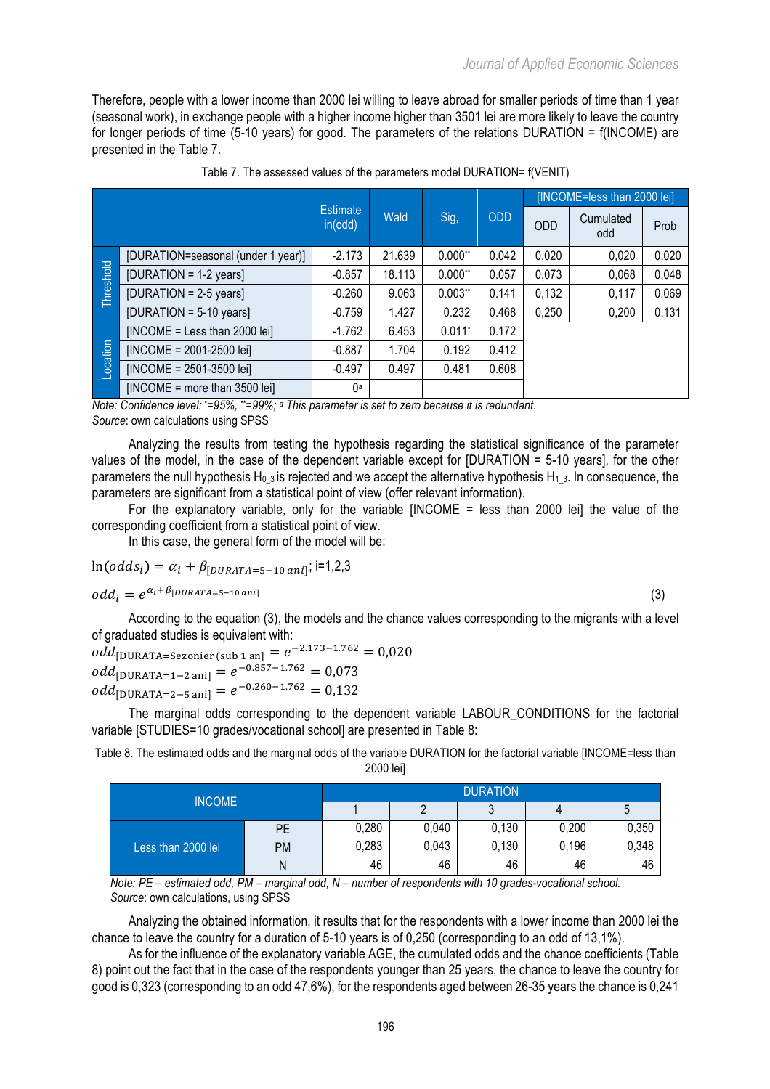Therefore, people with a lower income than 2000 lei willing to leave abroad for smaller periods of time than 1 year (seasonal work), in exchange people with a higher income higher than 3501 lei are more likely to leave the country for longer periods of time (5-10 years) for good. The parameters of the relations DURATION = f(INCOME) are presented in the Table 7.

|           |                                    |                                    |        |                      |            | [INCOME=less than 2000 lei] |                  |       |  |
|-----------|------------------------------------|------------------------------------|--------|----------------------|------------|-----------------------------|------------------|-------|--|
|           |                                    | <b>Estimate</b><br>Wald<br>in(odd) |        | Sig,                 | <b>ODD</b> | <b>ODD</b>                  | Cumulated<br>odd | Prob  |  |
|           | [DURATION=seasonal (under 1 year)] | $-2.173$                           | 21.639 | $0.000**$            | 0.042      | 0,020                       | 0,020            | 0,020 |  |
| Threshold | $[DURATION = 1-2 years]$           | $-0.857$                           | 18.113 | $0.000**$            | 0.057      | 0,073                       | 0.068            | 0,048 |  |
|           | [DURATION = $2-5$ years]           | $-0.260$                           | 9.063  | $0.003**$            | 0.141      | 0,132                       | 0,117            | 0,069 |  |
|           | $[DURATION = 5-10 years]$          | $-0.759$                           | 1.427  | 0.232                | 0.468      | 0,250                       | 0,200            | 0,131 |  |
|           | $[INCOME = Less than 2000 lei]$    | $-1.762$                           | 6.453  | $0.011$ <sup>*</sup> | 0.172      |                             |                  |       |  |
| _ocation  | $[INCOME = 2001 - 2500$ lei]       | $-0.887$                           | 1.704  | 0.192                | 0.412      |                             |                  |       |  |
|           | $[INCOME = 2501 - 3500$ lei]       | $-0.497$                           | 0.497  | 0.481                | 0.608      |                             |                  |       |  |
|           | $[INCOME = more than 3500 lei]$    | 0a                                 |        |                      |            |                             |                  |       |  |

| Table 7. The assessed values of the parameters model DURATION= f(VENIT) |  |
|-------------------------------------------------------------------------|--|
|-------------------------------------------------------------------------|--|

*Note: Confidence level: \*=95%, \*\*=99%; a This parameter is set to zero because it is redundant.* 

*Source*: own calculations using SPSS

Analyzing the results from testing the hypothesis regarding the statistical significance of the parameter values of the model, in the case of the dependent variable except for [DURATION = 5-10 years], for the other parameters the null hypothesis H<sub>0</sub> 3 is rejected and we accept the alternative hypothesis H<sub>1,3</sub>. In consequence, the parameters are significant from a statistical point of view (offer relevant information).

For the explanatory variable, only for the variable [INCOME = less than 2000 lei] the value of the corresponding coefficient from a statistical point of view.

In this case, the general form of the model will be:

$$
ln(odds_i) = \alpha_i + \beta_{[DURATA=5-10\,ani]}
$$
; i=1,2,3

$$
odd_i = e^{\alpha_i + \beta_{[DURATA=5-10\,ani]}} \tag{3}
$$

According to the equation (3), the models and the chance values corresponding to the migrants with a level of graduated studies is equivalent with:

 $odd_{\text{[DURATA=Sezonier (sub 1 an]}} = e^{-2.173 - 1.762} = 0.020$  $odd_{\text{[DURATA=1-2 ani]}} = e^{-0.857 - 1.762} = 0.073$  $odd_{\text{[DURATA=2-5 ani]}} = e^{-0.260 - 1.762} = 0.132$ 

The marginal odds corresponding to the dependent variable LABOUR\_CONDITIONS for the factorial variable [STUDIES=10 grades/vocational school] are presented in Table 8:

Table 8. The estimated odds and the marginal odds of the variable DURATION for the factorial variable [INCOME=less than 2000 lei]

| <b>INCOME</b>      |    | <b>DURATION</b> |       |       |       |       |  |  |
|--------------------|----|-----------------|-------|-------|-------|-------|--|--|
|                    |    |                 |       | u     |       | 5     |  |  |
|                    | PE | 0,280           | 0,040 | 0,130 | 0,200 | 0,350 |  |  |
| Less than 2000 lei | PM | 0,283           | 0,043 | 0,130 | 0,196 | 0,348 |  |  |
|                    | Ν  | 46              | 46    | 46    | 46    | 46    |  |  |

*Note: PE – estimated odd, PM – marginal odd, N – number of respondents with 10 grades-vocational school. Source*: own calculations, using SPSS

Analyzing the obtained information, it results that for the respondents with a lower income than 2000 lei the chance to leave the country for a duration of 5-10 years is of 0,250 (corresponding to an odd of 13,1%).

As for the influence of the explanatory variable AGE, the cumulated odds and the chance coefficients (Table 8) point out the fact that in the case of the respondents younger than 25 years, the chance to leave the country for good is 0,323 (corresponding to an odd 47,6%), for the respondents aged between 26-35 years the chance is 0,241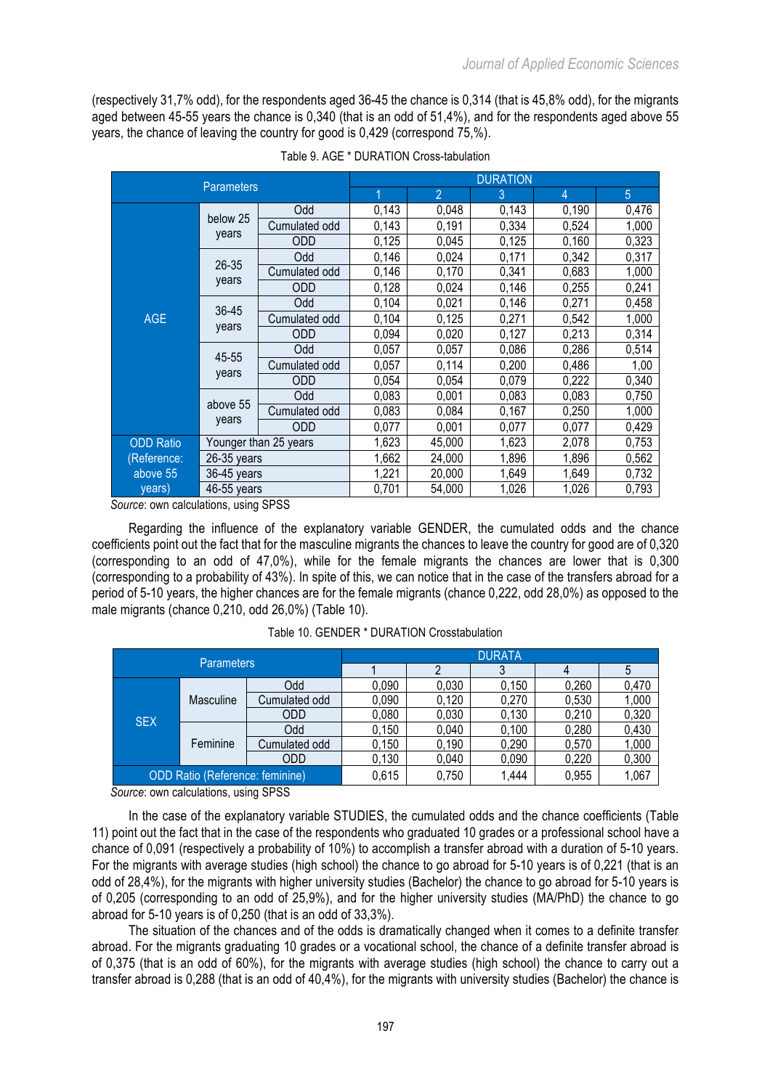(respectively 31,7% odd), for the respondents aged 36-45 the chance is 0,314 (that is 45,8% odd), for the migrants aged between 45-55 years the chance is 0,340 (that is an odd of 51,4%), and for the respondents aged above 55 years, the chance of leaving the country for good is 0,429 (correspond 75,%).

|                  | <b>Parameters</b>  |                       |       | <b>DURATION</b> |       |                |       |  |  |  |
|------------------|--------------------|-----------------------|-------|-----------------|-------|----------------|-------|--|--|--|
|                  |                    |                       | 1     | $\overline{2}$  | 3     | $\overline{4}$ | 5     |  |  |  |
|                  | below 25           | Odd                   | 0,143 | 0,048           | 0,143 | 0,190          | 0,476 |  |  |  |
|                  |                    | Cumulated odd         | 0,143 | 0,191           | 0,334 | 0,524          | 1,000 |  |  |  |
|                  | years              | <b>ODD</b>            | 0,125 | 0,045           | 0,125 | 0,160          | 0,323 |  |  |  |
|                  |                    | Odd                   | 0,146 | 0,024           | 0,171 | 0,342          | 0,317 |  |  |  |
|                  | $26 - 35$          | Cumulated odd         | 0,146 | 0,170           | 0,341 | 0,683          | 1,000 |  |  |  |
| <b>AGE</b>       | years              | <b>ODD</b>            | 0,128 | 0,024           | 0,146 | 0,255          | 0,241 |  |  |  |
|                  | $36 - 45$<br>years | Odd                   | 0,104 | 0,021           | 0,146 | 0,271          | 0,458 |  |  |  |
|                  |                    | Cumulated odd         | 0,104 | 0,125           | 0,271 | 0,542          | 1,000 |  |  |  |
|                  |                    | <b>ODD</b>            | 0,094 | 0,020           | 0,127 | 0,213          | 0,314 |  |  |  |
|                  | 45-55              | Odd                   | 0,057 | 0,057           | 0,086 | 0,286          | 0,514 |  |  |  |
|                  |                    | Cumulated odd         | 0,057 | 0,114           | 0,200 | 0,486          | 1,00  |  |  |  |
|                  | years              | <b>ODD</b>            | 0,054 | 0,054           | 0,079 | 0,222          | 0,340 |  |  |  |
|                  |                    | Odd                   | 0,083 | 0,001           | 0.083 | 0,083          | 0,750 |  |  |  |
|                  | above 55           | Cumulated odd         | 0,083 | 0,084           | 0,167 | 0,250          | 1,000 |  |  |  |
|                  | years              | <b>ODD</b>            | 0,077 | 0,001           | 0,077 | 0,077          | 0,429 |  |  |  |
| <b>ODD Ratio</b> |                    | Younger than 25 years | 1,623 | 45,000          | 1,623 | 2,078          | 0,753 |  |  |  |
| (Reference:      | 26-35 years        |                       | 1,662 | 24,000          | 1,896 | 1,896          | 0,562 |  |  |  |
| above 55         | 36-45 years        |                       | 1,221 | 20,000          | 1,649 | 1,649          | 0,732 |  |  |  |
| years)           | 46-55 years        |                       | 0,701 | 54,000          | 1,026 | 1,026          | 0,793 |  |  |  |

*Source*: own calculations, using SPSS

Regarding the influence of the explanatory variable GENDER, the cumulated odds and the chance coefficients point out the fact that for the masculine migrants the chances to leave the country for good are of 0,320 (corresponding to an odd of 47,0%), while for the female migrants the chances are lower that is 0,300 (corresponding to a probability of 43%). In spite of this, we can notice that in the case of the transfers abroad for a period of 5-10 years, the higher chances are for the female migrants (chance 0,222, odd 28,0%) as opposed to the male migrants (chance 0,210, odd 26,0%) (Table 10).

| <b>Parameters</b>                      |           |               | <b>DURATA</b> |       |       |       |       |  |  |  |
|----------------------------------------|-----------|---------------|---------------|-------|-------|-------|-------|--|--|--|
|                                        |           |               |               |       |       |       |       |  |  |  |
|                                        |           | Odd           | 0,090         | 0,030 | 0,150 | 0,260 | 0,470 |  |  |  |
|                                        | Masculine | Cumulated odd | 0,090         | 0,120 | 0,270 | 0,530 | 1,000 |  |  |  |
|                                        |           | <b>ODD</b>    | 0,080         | 0,030 | 0,130 | 0,210 | 0,320 |  |  |  |
| <b>SEX</b>                             |           | Odd           | 0,150         | 0,040 | 0,100 | 0,280 | 0,430 |  |  |  |
|                                        | Feminine  | Cumulated odd | 0,150         | 0,190 | 0,290 | 0,570 | 1,000 |  |  |  |
|                                        |           | <b>ODD</b>    | 0,130         | 0,040 | 0,090 | 0,220 | 0,300 |  |  |  |
| <b>ODD Ratio (Reference: feminine)</b> |           | 0,615         | 0,750         | 1,444 | 0,955 | 1,067 |       |  |  |  |

Table 10. GENDER \* DURATION Crosstabulation

*Source*: own calculations, using SPSS

In the case of the explanatory variable STUDIES, the cumulated odds and the chance coefficients (Table 11) point out the fact that in the case of the respondents who graduated 10 grades or a professional school have a chance of 0,091 (respectively a probability of 10%) to accomplish a transfer abroad with a duration of 5-10 years. For the migrants with average studies (high school) the chance to go abroad for 5-10 years is of 0,221 (that is an odd of 28,4%), for the migrants with higher university studies (Bachelor) the chance to go abroad for 5-10 years is of 0,205 (corresponding to an odd of 25,9%), and for the higher university studies (MA/PhD) the chance to go abroad for 5-10 years is of 0,250 (that is an odd of 33,3%).

The situation of the chances and of the odds is dramatically changed when it comes to a definite transfer abroad. For the migrants graduating 10 grades or a vocational school, the chance of a definite transfer abroad is of 0,375 (that is an odd of 60%), for the migrants with average studies (high school) the chance to carry out a transfer abroad is 0,288 (that is an odd of 40,4%), for the migrants with university studies (Bachelor) the chance is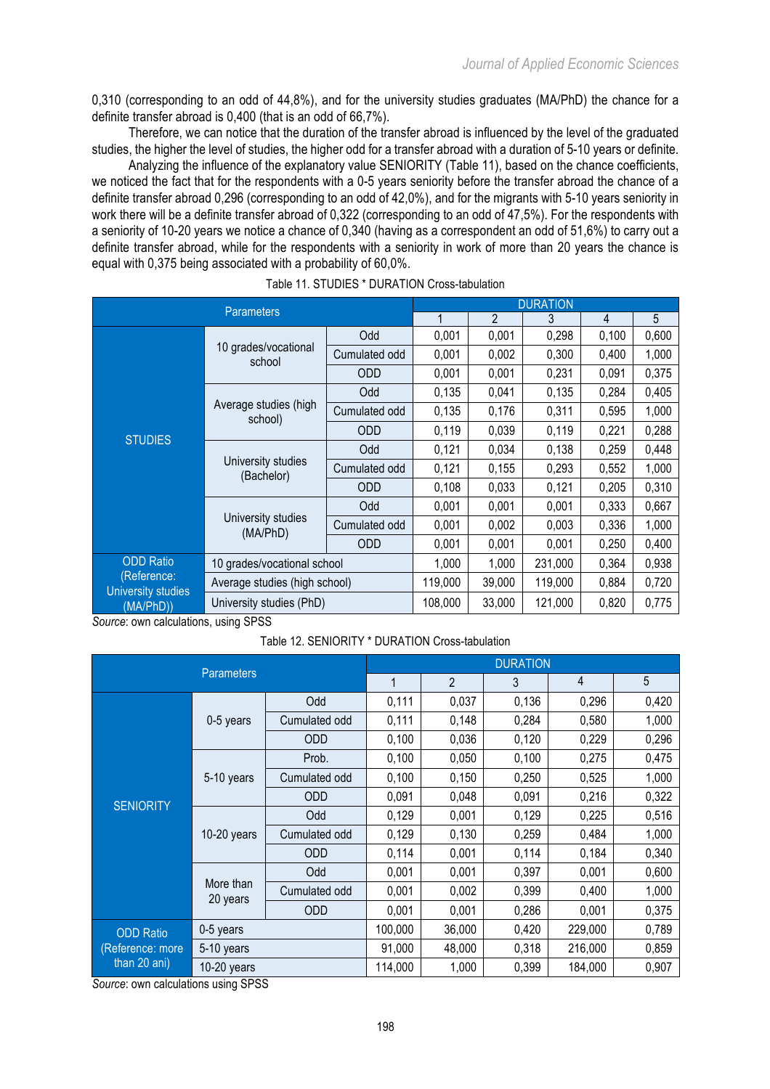0,310 (corresponding to an odd of 44,8%), and for the university studies graduates (MA/PhD) the chance for a definite transfer abroad is 0,400 (that is an odd of 66,7%).

Therefore, we can notice that the duration of the transfer abroad is influenced by the level of the graduated studies, the higher the level of studies, the higher odd for a transfer abroad with a duration of 5-10 years or definite.

Analyzing the influence of the explanatory value SENIORITY (Table 11), based on the chance coefficients, we noticed the fact that for the respondents with a 0-5 years seniority before the transfer abroad the chance of a definite transfer abroad 0,296 (corresponding to an odd of 42,0%), and for the migrants with 5-10 years seniority in work there will be a definite transfer abroad of 0,322 (corresponding to an odd of 47,5%). For the respondents with a seniority of 10-20 years we notice a chance of 0,340 (having as a correspondent an odd of 51,6%) to carry out a definite transfer abroad, while for the respondents with a seniority in work of more than 20 years the chance is equal with 0,375 being associated with a probability of 60,0%.

|                                        | <b>Parameters</b>                |               | <b>DURATION</b> |                |         |       |       |  |  |
|----------------------------------------|----------------------------------|---------------|-----------------|----------------|---------|-------|-------|--|--|
|                                        |                                  |               |                 | $\mathfrak{p}$ | 3       | 4     | 5     |  |  |
|                                        |                                  | Odd           | 0,001           | 0,001          | 0,298   | 0,100 | 0,600 |  |  |
|                                        | 10 grades/vocational<br>school   | Cumulated odd | 0,001           | 0,002          | 0,300   | 0,400 | 1,000 |  |  |
|                                        |                                  | <b>ODD</b>    | 0,001           | 0,001          | 0,231   | 0,091 | 0,375 |  |  |
|                                        |                                  | Odd           | 0,135           | 0,041          | 0,135   | 0,284 | 0,405 |  |  |
|                                        | Average studies (high<br>school) | Cumulated odd | 0,135           | 0,176          | 0,311   | 0,595 | 1,000 |  |  |
| <b>STUDIES</b>                         |                                  | <b>ODD</b>    | 0,119           | 0,039          | 0,119   | 0,221 | 0,288 |  |  |
|                                        |                                  | Odd           | 0,121           | 0,034          | 0,138   | 0,259 | 0,448 |  |  |
|                                        | University studies<br>(Bachelor) | Cumulated odd | 0,121           | 0,155          | 0,293   | 0,552 | 1,000 |  |  |
|                                        |                                  | <b>ODD</b>    | 0,108           | 0,033          | 0,121   | 0,205 | 0,310 |  |  |
|                                        |                                  | Odd           | 0,001           | 0,001          | 0,001   | 0,333 | 0,667 |  |  |
|                                        | University studies<br>(MA/PhD)   | Cumulated odd | 0,001           | 0,002          | 0,003   | 0,336 | 1,000 |  |  |
|                                        |                                  | <b>ODD</b>    | 0,001           | 0,001          | 0,001   | 0,250 | 0,400 |  |  |
| <b>ODD Ratio</b>                       | 10 grades/vocational school      |               | 1,000           | 1,000          | 231,000 | 0,364 | 0,938 |  |  |
| (Reference:                            | Average studies (high school)    | 119,000       | 39,000          | 119,000        | 0,884   | 0,720 |       |  |  |
| <b>University studies</b><br>(MA/PhD)) | University studies (PhD)         |               | 108,000         | 33,000         | 121,000 | 0,820 | 0,775 |  |  |

Table 11. STUDIES \* DURATION Cross-tabulation

*Source*: own calculations, using SPSS

Table 12. SENIORITY \* DURATION Cross-tabulation

|                  |                       |               | <b>DURATION</b> |                |       |         |       |  |  |
|------------------|-----------------------|---------------|-----------------|----------------|-------|---------|-------|--|--|
|                  | <b>Parameters</b>     |               | 1               | $\overline{2}$ | 3     | 4       | 5     |  |  |
|                  |                       | Odd           | 0,111           | 0,037          | 0,136 | 0,296   | 0,420 |  |  |
|                  | 0-5 years             | Cumulated odd | 0,111           | 0,148          | 0,284 | 0,580   | 1,000 |  |  |
|                  |                       | <b>ODD</b>    | 0,100           | 0,036          | 0,120 | 0,229   | 0,296 |  |  |
|                  | 5-10 years            | Prob.         | 0,100           | 0,050          | 0,100 | 0,275   | 0,475 |  |  |
|                  |                       | Cumulated odd | 0,100           | 0,150          | 0,250 | 0,525   | 1,000 |  |  |
| <b>SENIORITY</b> |                       | ODD           | 0,091           | 0,048          | 0,091 | 0,216   | 0,322 |  |  |
|                  | $10-20$ years         | Odd           | 0,129           | 0,001          | 0,129 | 0,225   | 0,516 |  |  |
|                  |                       | Cumulated odd | 0,129           | 0,130          | 0,259 | 0,484   | 1,000 |  |  |
|                  |                       | <b>ODD</b>    | 0,114           | 0,001          | 0,114 | 0,184   | 0,340 |  |  |
|                  |                       | Odd           | 0,001           | 0,001          | 0,397 | 0,001   | 0,600 |  |  |
|                  | More than<br>20 years | Cumulated odd | 0,001           | 0,002          | 0,399 | 0,400   | 1,000 |  |  |
|                  |                       | <b>ODD</b>    | 0,001           | 0,001          | 0,286 | 0,001   | 0,375 |  |  |
| <b>ODD Ratio</b> | 0-5 years             |               | 100,000         | 36,000         | 0,420 | 229,000 | 0,789 |  |  |
| (Reference: more | 5-10 years            |               | 91,000          | 48,000         | 0,318 | 216,000 | 0,859 |  |  |
| than 20 ani)     | 10-20 years           |               | 114,000         | 1,000          | 0,399 | 184,000 | 0,907 |  |  |

*Source*: own calculations using SPSS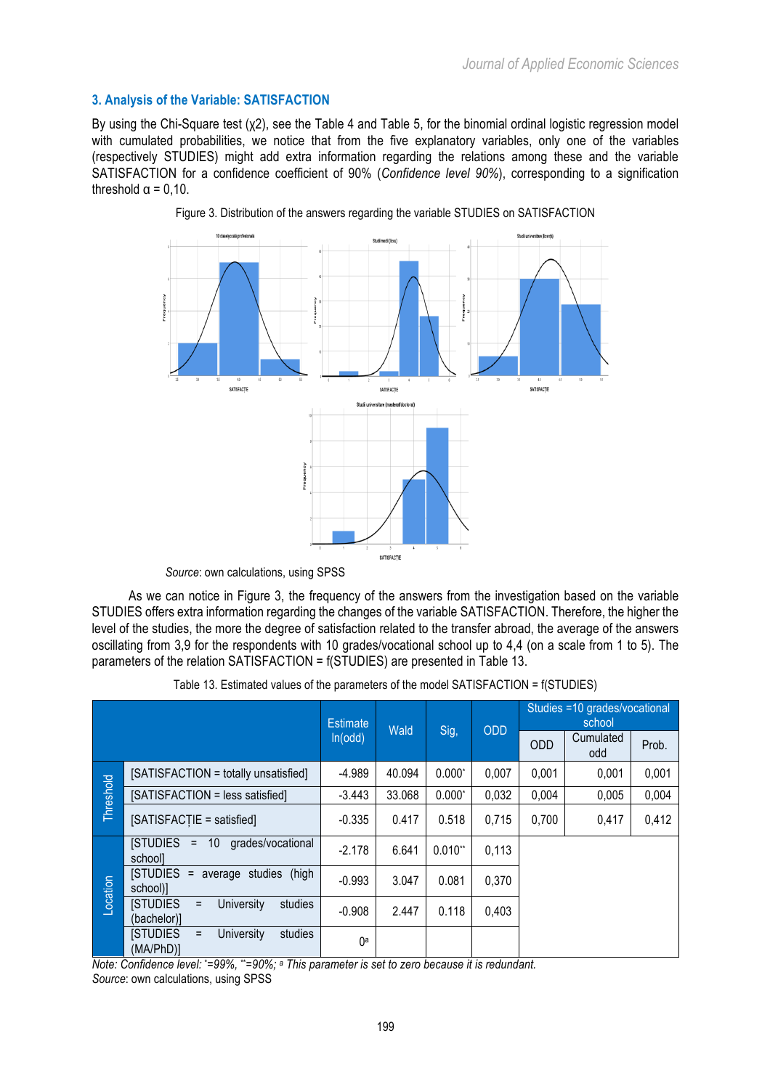## **3. Analysis of the Variable: SATISFACTION**

By using the Chi-Square test (χ2), see the Table 4 and Table 5, for the binomial ordinal logistic regression model with cumulated probabilities, we notice that from the five explanatory variables, only one of the variables (respectively STUDIES) might add extra information regarding the relations among these and the variable SATISFACTION for a confidence coefficient of 90% (*Confidence level 90%*), corresponding to a signification threshold  $\alpha = 0.10$ .



Figure 3. Distribution of the answers regarding the variable STUDIES on SATISFACTION

*Source*: own calculations, using SPSS

As we can notice in Figure 3, the frequency of the answers from the investigation based on the variable STUDIES offers extra information regarding the changes of the variable SATISFACTION. Therefore, the higher the level of the studies, the more the degree of satisfaction related to the transfer abroad, the average of the answers oscillating from 3,9 for the respondents with 10 grades/vocational school up to 4,4 (on a scale from 1 to 5). The parameters of the relation SATISFACTION = f(STUDIES) are presented in Table 13.

|  |  |  |  |  |  |  |  |  |  |  | Table 13. Estimated values of the parameters of the model SATISFACTION = f(STUDIES) |  |
|--|--|--|--|--|--|--|--|--|--|--|-------------------------------------------------------------------------------------|--|
|--|--|--|--|--|--|--|--|--|--|--|-------------------------------------------------------------------------------------|--|

|           |                                                                     | <b>Estimate</b> | Wald   |           | <b>ODD</b> | Studies =10 grades/vocational<br>school |                  |       |  |
|-----------|---------------------------------------------------------------------|-----------------|--------|-----------|------------|-----------------------------------------|------------------|-------|--|
|           |                                                                     | ln(odd)         |        | Sig,      |            | <b>ODD</b>                              | Cumulated<br>odd | Prob. |  |
|           | [SATISFACTION = totally unsatisfied]                                | $-4.989$        | 40.094 | $0.000*$  | 0,007      | 0,001                                   | 0,001            | 0,001 |  |
| Threshold | [SATISFACTION = less satisfied]                                     | $-3.443$        | 33.068 | $0.000*$  | 0,032      | 0,004                                   | 0,005            | 0,004 |  |
|           | [SATISFACTIE = satisfied]                                           | $-0.335$        | 0.417  | 0.518     | 0,715      | 0,700                                   | 0,417            | 0,412 |  |
|           | <b>STUDIES =</b><br>10 <sup>°</sup><br>grades/vocational<br>schooll | $-2.178$        | 6.641  | $0.010**$ | 0,113      |                                         |                  |       |  |
|           | <b>ISTUDIES =</b><br>(high<br>average studies<br>school)]           | $-0.993$        | 3.047  | 0.081     | 0,370      |                                         |                  |       |  |
| Location  | University<br>studies<br><b>ISTUDIES</b><br>$=$<br>(bachelor)]      | $-0.908$        | 2.447  | 0.118     | 0,403      |                                         |                  |       |  |
|           | <b>ISTUDIES</b><br>University<br>studies<br>$\equiv$<br>(MA/PhD)]   | ()a             |        |           |            |                                         |                  |       |  |

*Note: Confidence level: \*=99%, \*\*=90%; a This parameter is set to zero because it is redundant. Source*: own calculations, using SPSS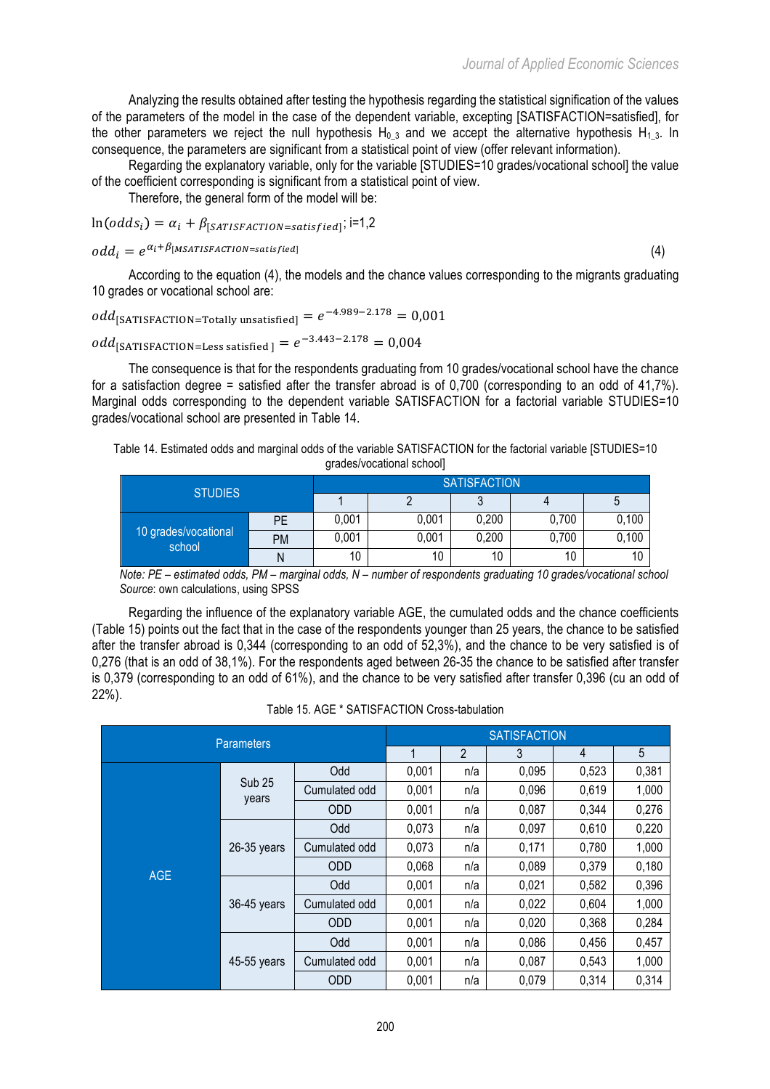Analyzing the results obtained after testing the hypothesis regarding the statistical signification of the values of the parameters of the model in the case of the dependent variable, excepting [SATISFACTION=satisfied], for the other parameters we reject the null hypothesis H<sub>0</sub> 3 and we accept the alternative hypothesis H<sub>1</sub> 3. In consequence, the parameters are significant from a statistical point of view (offer relevant information).

Regarding the explanatory variable, only for the variable [STUDIES=10 grades/vocational school] the value of the coefficient corresponding is significant from a statistical point of view.

Therefore, the general form of the model will be:

$$
\ln(\text{odds}_i) = \alpha_i + \beta_{[SATISFACTION = satisfied]}; i=1,2
$$

$$
odd_i = e^{\alpha_i + \beta \text{[MSATISFACTION=satisfied]}} \tag{4}
$$

According to the equation (4), the models and the chance values corresponding to the migrants graduating 10 grades or vocational school are:

 $odd_{\texttt{[SATISFACTION=Totally unsatisfied]}}=e^{-4.989 - 2.178} = 0,001$ 

$$
odd_{\text{[SATISFACTION=Less satisfied]}} = e^{-3.443 - 2.178} = 0.004
$$

The consequence is that for the respondents graduating from 10 grades/vocational school have the chance for a satisfaction degree = satisfied after the transfer abroad is of 0,700 (corresponding to an odd of  $41.7\%$ ). Marginal odds corresponding to the dependent variable SATISFACTION for a factorial variable STUDIES=10 grades/vocational school are presented in Table 14.

Table 14. Estimated odds and marginal odds of the variable SATISFACTION for the factorial variable [STUDIES=10 grades/vocational school]

| <b>STUDIES</b>                 |           | <b>SATISFACTION</b> |       |       |       |       |  |  |  |  |
|--------------------------------|-----------|---------------------|-------|-------|-------|-------|--|--|--|--|
|                                |           |                     |       |       | C     |       |  |  |  |  |
| 10 grades/vocational<br>school | PE        | 0,001               | 0,001 | 0,200 | 0,700 | 0,100 |  |  |  |  |
|                                | <b>PM</b> | 0,001               | 0,001 | 0,200 | 0,700 | 0,100 |  |  |  |  |
|                                | Ν         | 10                  | 10    | 10    | 10    | 10    |  |  |  |  |

*Note: PE – estimated odds, PM – marginal odds, N – number of respondents graduating 10 grades/vocational school Source*: own calculations, using SPSS

Regarding the influence of the explanatory variable AGE, the cumulated odds and the chance coefficients (Table 15) points out the fact that in the case of the respondents younger than 25 years, the chance to be satisfied after the transfer abroad is 0,344 (corresponding to an odd of 52,3%), and the chance to be very satisfied is of 0,276 (that is an odd of 38,1%). For the respondents aged between 26-35 the chance to be satisfied after transfer is 0,379 (corresponding to an odd of 61%), and the chance to be very satisfied after transfer 0,396 (cu an odd of 22%).

|            | <b>Parameters</b>      |               |       | <b>SATISFACTION</b> |       |       |       |  |  |  |
|------------|------------------------|---------------|-------|---------------------|-------|-------|-------|--|--|--|
|            |                        |               | 1     | $\overline{2}$      | 3     | 4     | 5     |  |  |  |
|            |                        | Odd           | 0,001 | n/a                 | 0,095 | 0,523 | 0,381 |  |  |  |
|            | <b>Sub 25</b><br>years | Cumulated odd | 0,001 | n/a                 | 0,096 | 0,619 | 1,000 |  |  |  |
|            |                        | <b>ODD</b>    | 0,001 | n/a                 | 0.087 | 0,344 | 0,276 |  |  |  |
|            |                        | Odd           | 0,073 | n/a                 | 0,097 | 0,610 | 0,220 |  |  |  |
|            | $26-35$ years          | Cumulated odd | 0,073 | n/a                 | 0,171 | 0,780 | 1,000 |  |  |  |
| <b>AGE</b> |                        | <b>ODD</b>    | 0,068 | n/a                 | 0,089 | 0,379 | 0,180 |  |  |  |
|            |                        | Odd           | 0,001 | n/a                 | 0,021 | 0,582 | 0,396 |  |  |  |
|            | 36-45 years            | Cumulated odd | 0,001 | n/a                 | 0,022 | 0,604 | 1,000 |  |  |  |
|            |                        | <b>ODD</b>    | 0,001 | n/a                 | 0,020 | 0,368 | 0,284 |  |  |  |
|            |                        | Odd           | 0,001 | n/a                 | 0,086 | 0,456 | 0,457 |  |  |  |
|            | 45-55 years            | Cumulated odd | 0,001 | n/a                 | 0,087 | 0,543 | 1,000 |  |  |  |
|            |                        | <b>ODD</b>    | 0,001 | n/a                 | 0,079 | 0,314 | 0,314 |  |  |  |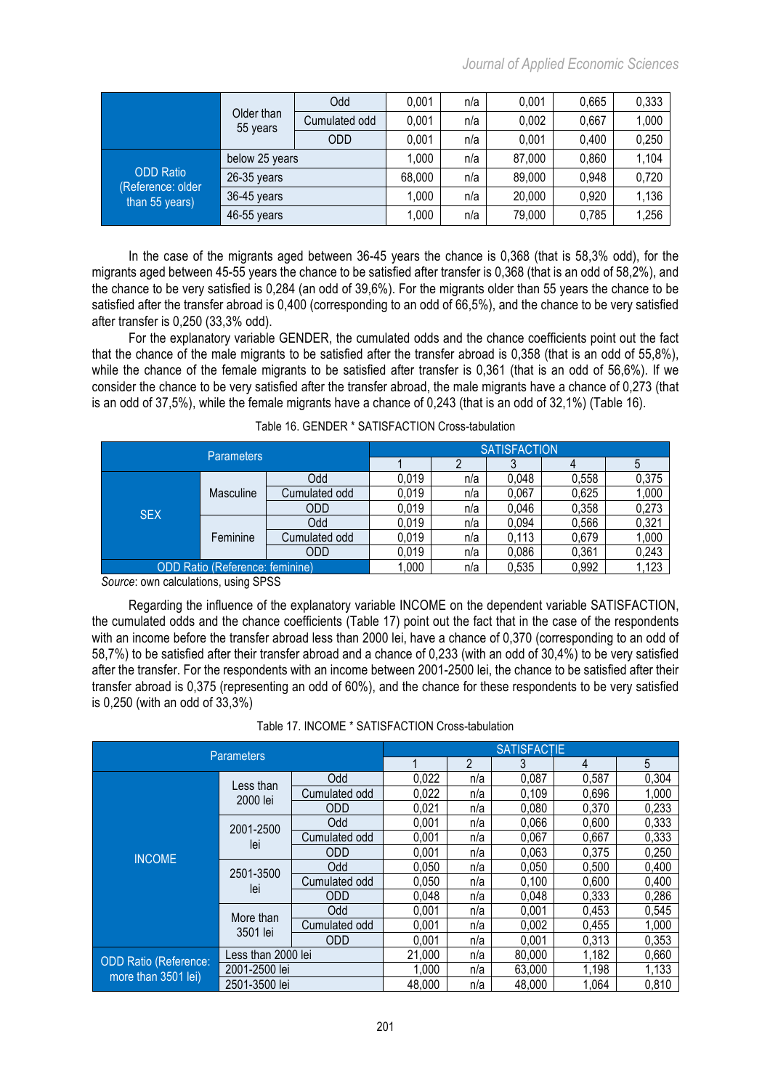|                                     | Older than<br>55 years | Odd           | 0,001 | n/a    | 0.001 | 0.665 | 0,333 |
|-------------------------------------|------------------------|---------------|-------|--------|-------|-------|-------|
|                                     |                        | Cumulated odd | 0,001 | n/a    | 0,002 | 0,667 | 1,000 |
|                                     |                        | ODD.          | 0,001 | n/a    | 0,001 | 0,400 | 0,250 |
|                                     | below 25 years         | 1,000         | n/a   | 87,000 | 0,860 | 1,104 |       |
| <b>ODD Ratio</b>                    | $26-35$ years          | 68,000        | n/a   | 89,000 | 0,948 | 0,720 |       |
| (Reference: older<br>than 55 years) | 36-45 years            | 1,000         | n/a   | 20,000 | 0,920 | 1,136 |       |
|                                     | 46-55 years            | 1,000         | n/a   | 79,000 | 0,785 | 1,256 |       |

In the case of the migrants aged between 36-45 years the chance is 0,368 (that is 58,3% odd), for the migrants aged between 45-55 years the chance to be satisfied after transfer is 0,368 (that is an odd of 58,2%), and the chance to be very satisfied is 0,284 (an odd of 39,6%). For the migrants older than 55 years the chance to be satisfied after the transfer abroad is 0,400 (corresponding to an odd of 66,5%), and the chance to be very satisfied after transfer is 0,250 (33,3% odd).

For the explanatory variable GENDER, the cumulated odds and the chance coefficients point out the fact that the chance of the male migrants to be satisfied after the transfer abroad is 0,358 (that is an odd of 55,8%), while the chance of the female migrants to be satisfied after transfer is 0,361 (that is an odd of 56,6%). If we consider the chance to be very satisfied after the transfer abroad, the male migrants have a chance of 0,273 (that is an odd of 37,5%), while the female migrants have a chance of 0,243 (that is an odd of 32,1%) (Table 16).

|                                 | <b>SATISFACTION</b> |               |       |     |       |       |       |
|---------------------------------|---------------------|---------------|-------|-----|-------|-------|-------|
| <b>Parameters</b>               |                     |               |       |     |       |       |       |
|                                 |                     | Odd           | 0.019 | n/a | 0,048 | 0,558 | 0,375 |
|                                 | Masculine           | Cumulated odd | 0.019 | n/a | 0,067 | 0,625 | 1,000 |
| <b>SEX</b>                      |                     | ODD           | 0,019 | n/a | 0,046 | 0,358 | 0,273 |
|                                 | Feminine            | Odd           | 0,019 | n/a | 0,094 | 0,566 | 0,321 |
|                                 |                     | Cumulated odd | 0.019 | n/a | 0,113 | 0,679 | 1,000 |
|                                 |                     | ODD           | 0.019 | n/a | 0,086 | 0,361 | 0,243 |
| ODD Ratio (Reference: feminine) |                     |               | 000   | n/a | 0,535 | 0,992 | .123  |

Table 16. GENDER \* SATISFACTION Cross-tabulation

*Source*: own calculations, using SPSS

Regarding the influence of the explanatory variable INCOME on the dependent variable SATISFACTION, the cumulated odds and the chance coefficients (Table 17) point out the fact that in the case of the respondents with an income before the transfer abroad less than 2000 lei, have a chance of 0,370 (corresponding to an odd of 58,7%) to be satisfied after their transfer abroad and a chance of 0,233 (with an odd of 30,4%) to be very satisfied after the transfer. For the respondents with an income between 2001-2500 lei, the chance to be satisfied after their transfer abroad is 0,375 (representing an odd of 60%), and the chance for these respondents to be very satisfied is 0,250 (with an odd of 33,3%)

Table 17. INCOME \* SATISFACTION Cross-tabulation

| <b>Parameters</b>                                   |                       |               | <b>SATISFACTIE</b> |     |        |       |       |  |  |  |
|-----------------------------------------------------|-----------------------|---------------|--------------------|-----|--------|-------|-------|--|--|--|
|                                                     |                       |               |                    | 2   | 3      | 4     | 5     |  |  |  |
|                                                     |                       | <b>Odd</b>    | 0,022              | n/a | 0,087  | 0,587 | 0,304 |  |  |  |
|                                                     | Less than<br>2000 lei | Cumulated odd | 0,022              | n/a | 0,109  | 0,696 | 1,000 |  |  |  |
|                                                     |                       | <b>ODD</b>    | 0,021              | n/a | 0,080  | 0,370 | 0,233 |  |  |  |
|                                                     | 2001-2500<br>lei      | <b>Odd</b>    | 0,001              | n/a | 0,066  | 0,600 | 0,333 |  |  |  |
| <b>INCOME</b>                                       |                       | Cumulated odd | 0,001              | n/a | 0,067  | 0,667 | 0,333 |  |  |  |
|                                                     |                       | <b>ODD</b>    | 0,001              | n/a | 0,063  | 0,375 | 0,250 |  |  |  |
|                                                     | 2501-3500<br>lei      | <b>Odd</b>    | 0,050              | n/a | 0,050  | 0,500 | 0,400 |  |  |  |
|                                                     |                       | Cumulated odd | 0,050              | n/a | 0,100  | 0,600 | 0,400 |  |  |  |
|                                                     |                       | <b>ODD</b>    | 0,048              | n/a | 0.048  | 0,333 | 0,286 |  |  |  |
|                                                     | More than<br>3501 lei | Odd           | 0,001              | n/a | 0,001  | 0,453 | 0,545 |  |  |  |
|                                                     |                       | Cumulated odd | 0,001              | n/a | 0,002  | 0,455 | 1,000 |  |  |  |
|                                                     |                       | <b>ODD</b>    | 0,001              | n/a | 0,001  | 0,313 | 0,353 |  |  |  |
| <b>ODD Ratio (Reference:</b><br>more than 3501 lei) | Less than 2000 lei    |               | 21,000             | n/a | 80.000 | 1,182 | 0,660 |  |  |  |
|                                                     | 2001-2500 lei         |               | 1,000              | n/a | 63,000 | 1,198 | 1,133 |  |  |  |
|                                                     | 2501-3500 lei         |               | 48,000             | n/a | 48.000 | 1,064 | 0,810 |  |  |  |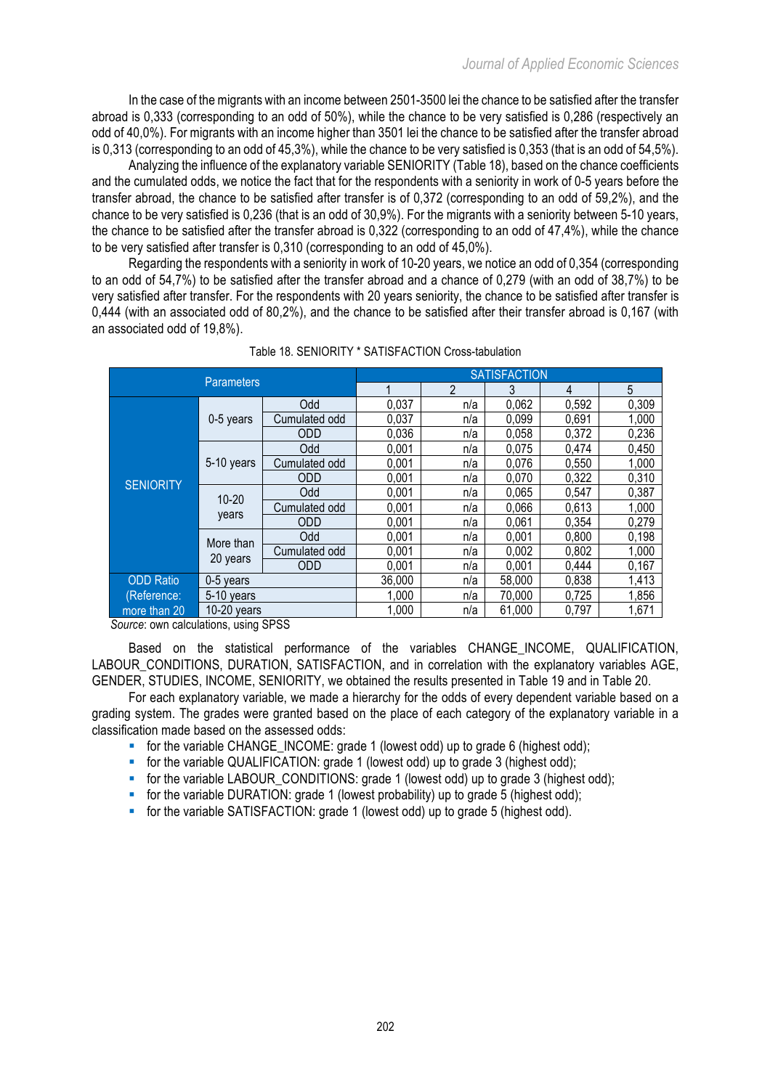In the case of the migrants with an income between 2501-3500 lei the chance to be satisfied after the transfer abroad is 0,333 (corresponding to an odd of 50%), while the chance to be very satisfied is 0,286 (respectively an odd of 40,0%). For migrants with an income higher than 3501 lei the chance to be satisfied after the transfer abroad is 0,313 (corresponding to an odd of 45,3%), while the chance to be very satisfied is 0,353 (that is an odd of 54,5%).

Analyzing the influence of the explanatory variable SENIORITY (Table 18), based on the chance coefficients and the cumulated odds, we notice the fact that for the respondents with a seniority in work of 0-5 years before the transfer abroad, the chance to be satisfied after transfer is of 0,372 (corresponding to an odd of 59,2%), and the chance to be very satisfied is 0,236 (that is an odd of 30,9%). For the migrants with a seniority between 5-10 years, the chance to be satisfied after the transfer abroad is 0,322 (corresponding to an odd of 47,4%), while the chance to be very satisfied after transfer is 0,310 (corresponding to an odd of 45,0%).

Regarding the respondents with a seniority in work of 10-20 years, we notice an odd of 0,354 (corresponding to an odd of 54,7%) to be satisfied after the transfer abroad and a chance of 0,279 (with an odd of 38,7%) to be very satisfied after transfer. For the respondents with 20 years seniority, the chance to be satisfied after transfer is 0,444 (with an associated odd of 80,2%), and the chance to be satisfied after their transfer abroad is 0,167 (with an associated odd of 19,8%).

| <b>Parameters</b> |                       |               | <b>SATISFACTION</b> |                |        |       |       |  |  |  |
|-------------------|-----------------------|---------------|---------------------|----------------|--------|-------|-------|--|--|--|
|                   |                       |               |                     | $\overline{2}$ | 3      | 4     | 5     |  |  |  |
| <b>SENIORITY</b>  |                       | Odd           | 0,037               | n/a            | 0,062  | 0,592 | 0,309 |  |  |  |
|                   | 0-5 years             | Cumulated odd | 0,037               | n/a            | 0,099  | 0,691 | 1,000 |  |  |  |
|                   |                       | <b>ODD</b>    | 0,036               | n/a            | 0,058  | 0,372 | 0,236 |  |  |  |
|                   | 5-10 years            | Odd           | 0,001               | n/a            | 0,075  | 0,474 | 0,450 |  |  |  |
|                   |                       | Cumulated odd | 0,001               | n/a            | 0,076  | 0,550 | 1,000 |  |  |  |
|                   |                       | <b>ODD</b>    | 0,001               | n/a            | 0,070  | 0,322 | 0,310 |  |  |  |
|                   | $10 - 20$<br>years    | Odd           | 0,001               | n/a            | 0,065  | 0,547 | 0,387 |  |  |  |
|                   |                       | Cumulated odd | 0,001               | n/a            | 0,066  | 0,613 | 1,000 |  |  |  |
|                   |                       | <b>ODD</b>    | 0,001               | n/a            | 0,061  | 0,354 | 0,279 |  |  |  |
|                   | More than<br>20 years | Odd           | 0,001               | n/a            | 0,001  | 0,800 | 0,198 |  |  |  |
|                   |                       | Cumulated odd | 0,001               | n/a            | 0,002  | 0,802 | 1,000 |  |  |  |
|                   |                       | <b>ODD</b>    | 0,001               | n/a            | 0,001  | 0,444 | 0,167 |  |  |  |
| <b>ODD Ratio</b>  | 0-5 years             |               | 36,000              | n/a            | 58,000 | 0,838 | 1,413 |  |  |  |
| (Reference:       | 5-10 years            |               | 1.000               | n/a            | 70,000 | 0,725 | 1,856 |  |  |  |
| more than 20      | $10-20$ years         |               | 1,000               | n/a            | 61,000 | 0,797 | 1,671 |  |  |  |

| Table 18. SENIORITY * SATISFACTION Cross-tabulation |
|-----------------------------------------------------|
|                                                     |

Source: own calculations, using SPSS

Based on the statistical performance of the variables CHANGE\_INCOME, QUALIFICATION, LABOUR\_CONDITIONS, DURATION, SATISFACTION, and in correlation with the explanatory variables AGE, GENDER, STUDIES, INCOME, SENIORITY, we obtained the results presented in Table 19 and in Table 20.

For each explanatory variable, we made a hierarchy for the odds of every dependent variable based on a grading system. The grades were granted based on the place of each category of the explanatory variable in a classification made based on the assessed odds:

- for the variable CHANGE\_INCOME: grade 1 (lowest odd) up to grade 6 (highest odd);
- for the variable QUALIFICATION: grade 1 (lowest odd) up to grade 3 (highest odd);
- for the variable LABOUR CONDITIONS: grade 1 (lowest odd) up to grade 3 (highest odd);
- for the variable DURATION: grade 1 (lowest probability) up to grade 5 (highest odd);
- for the variable SATISFACTION: grade 1 (lowest odd) up to grade 5 (highest odd).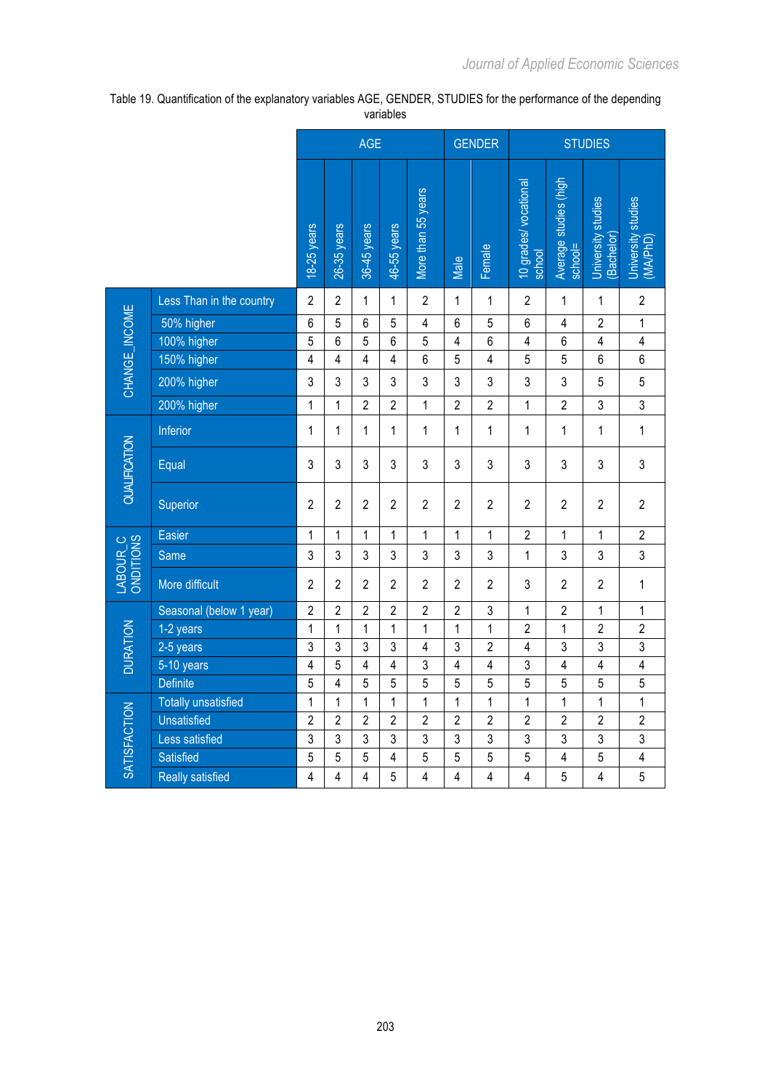|                                   |                            | <b>AGE</b>     |                |                |                | <b>GENDER</b>      |                | <b>STUDIES</b>          |                                 |                                  |                                  |                                |
|-----------------------------------|----------------------------|----------------|----------------|----------------|----------------|--------------------|----------------|-------------------------|---------------------------------|----------------------------------|----------------------------------|--------------------------------|
|                                   |                            | 18-25 years    | 26-35 years    | 36-45 years    | 46-55 years    | More than 55 years | Male           | Female                  | 10 grades/ vocational<br>school | Average studies (high<br>school= | University studies<br>(Bachelor) | University studies<br>(MA/PhD) |
|                                   | Less Than in the country   | $\overline{2}$ | $\overline{2}$ | 1              | 1              | $\overline{2}$     | 1              | $\mathbf{1}$            | $\overline{2}$                  | $\mathbf{1}$                     | 1                                | $\overline{2}$                 |
|                                   | 50% higher                 | $6\phantom{1}$ | 5              | 6              | 5              | 4                  | 6              | 5                       | $6\phantom{a}$                  | $\overline{4}$                   | $\overline{2}$                   | 1                              |
|                                   | 100% higher                | 5              | 6              | 5              | 6              | 5                  | 4              | $\boldsymbol{6}$        | $\overline{\mathbf{4}}$         | 6                                | $\overline{\mathbf{4}}$          | $\pmb{4}$                      |
|                                   | 150% higher                | $\overline{4}$ | $\overline{4}$ | 4              | 4              | 6                  | 5              | $\overline{\mathbf{4}}$ | $\sqrt{5}$                      | 5                                | 6                                | $6\,$                          |
| CHANGE_INCOME                     | 200% higher                | 3              | 3              | 3              | 3              | 3                  | 3              | 3                       | $\sqrt{3}$                      | 3                                | 5                                | 5                              |
|                                   | 200% higher                | 1              | $\mathbf{1}$   | $\overline{2}$ | $\overline{2}$ | 1                  | $\overline{2}$ | $\overline{2}$          | $\mathbf 1$                     | $\overline{2}$                   | 3                                | 3                              |
|                                   | Inferior                   | 1              | 1              | 1              | 1              | $\mathbf{1}$       | 1              | 1                       | 1                               | $\mathbf{1}$                     | 1                                | 1                              |
| <b>QUALIFICATION</b>              | Equal                      | 3              | 3              | 3              | 3              | 3                  | 3              | $\mathfrak{Z}$          | $\mathfrak{Z}$                  | 3                                | 3                                | 3                              |
|                                   | Superior                   | $\overline{2}$ | $\overline{2}$ | $\overline{2}$ | $\overline{2}$ | $\overline{2}$     | $\overline{2}$ | $\overline{c}$          | $\overline{2}$                  | $\overline{2}$                   | $\overline{2}$                   | $\overline{2}$                 |
|                                   | Easier                     | 1              | $\mathbf{1}$   | 1              | $\mathbf{1}$   | $\mathbf{1}$       | 1              | $\mathbf{1}$            | $\sqrt{2}$                      | $\mathbf{1}$                     | 1                                | $\boldsymbol{2}$               |
|                                   | Same                       | 3              | 3              | $\mathfrak{z}$ | 3              | 3                  | 3              | 3                       | $\mathbf{1}$                    | 3                                | 3                                | 3                              |
| ONDITIONS<br>LABOUR <sub>_C</sub> | More difficult             | $\overline{2}$ | $\overline{2}$ | $\overline{2}$ | $\overline{2}$ | $\overline{2}$     | $\overline{2}$ | $\overline{c}$          | $\sqrt{3}$                      | $\overline{2}$                   | $\overline{c}$                   | $\mathbf{1}$                   |
|                                   | Seasonal (below 1 year)    | $\overline{2}$ | $\overline{2}$ | $\overline{2}$ | $\overline{c}$ | $\overline{2}$     | $\overline{2}$ | $\mathsf 3$             | $\mathbf{1}$                    | $\overline{2}$                   | 1                                | $\mathbf{1}$                   |
| <b>DURATION</b>                   | 1-2 years                  | 1              | 1              | $\mathbf{1}$   | $\mathbf 1$    | $\mathbf{1}$       | $\mathbf{1}$   | $\mathbf{1}$            | $\overline{2}$                  | $\mathbf{1}$                     | $\overline{2}$                   | $\overline{c}$                 |
|                                   | $2-5$ years                | 3              | 3              | $\mathfrak{z}$ | 3              | 4                  | 3              | $\overline{2}$          | $\overline{4}$                  | 3                                | $\overline{3}$                   | $\overline{3}$                 |
|                                   | 5-10 years                 | 4              | 5              | $\overline{4}$ | 4              | 3                  | $\overline{4}$ | $\overline{\mathbf{4}}$ | $\mathfrak{z}$                  | $\overline{4}$                   | $\overline{\mathbf{4}}$          | $\overline{\mathbf{4}}$        |
|                                   | <b>Definite</b>            | 5              | $\overline{4}$ | 5              | 5              | 5                  | 5              | 5                       | $\overline{5}$                  | 5                                | 5                                | 5                              |
|                                   | <b>Totally unsatisfied</b> | 1              | $\mathbf{1}$   | $\mathbf{1}$   | 1              | 1                  | $\mathbf{1}$   | 1                       | $\mathbf{1}$                    | $\mathbf{1}$                     | 1                                | 1                              |
|                                   | <b>Unsatisfied</b>         | $\overline{2}$ | $\overline{2}$ | $\overline{2}$ | $\overline{2}$ | $\overline{2}$     | $\overline{2}$ | $\overline{2}$          | $\overline{2}$                  | $\overline{2}$                   | $\overline{2}$                   | $\overline{2}$                 |
|                                   | Less satisfied             | 3              | 3              | 3              | 3              | 3                  | 3              | 3                       | $\mathfrak{z}$                  | 3                                | 3                                | 3                              |
| <b>SATISFACTION</b>               | Satisfied                  | 5              | 5              | 5              | 4              | 5                  | 5              | 5                       | 5                               | $\overline{4}$                   | 5                                | $\overline{4}$                 |
|                                   | <b>Really satisfied</b>    | 4              | 4              | 4              | 5              | 4                  | 4              | $\overline{4}$          | 4                               | 5                                | 4                                | 5                              |

Table 19. Quantification of the explanatory variables AGE, GENDER, STUDIES for the performance of the depending variables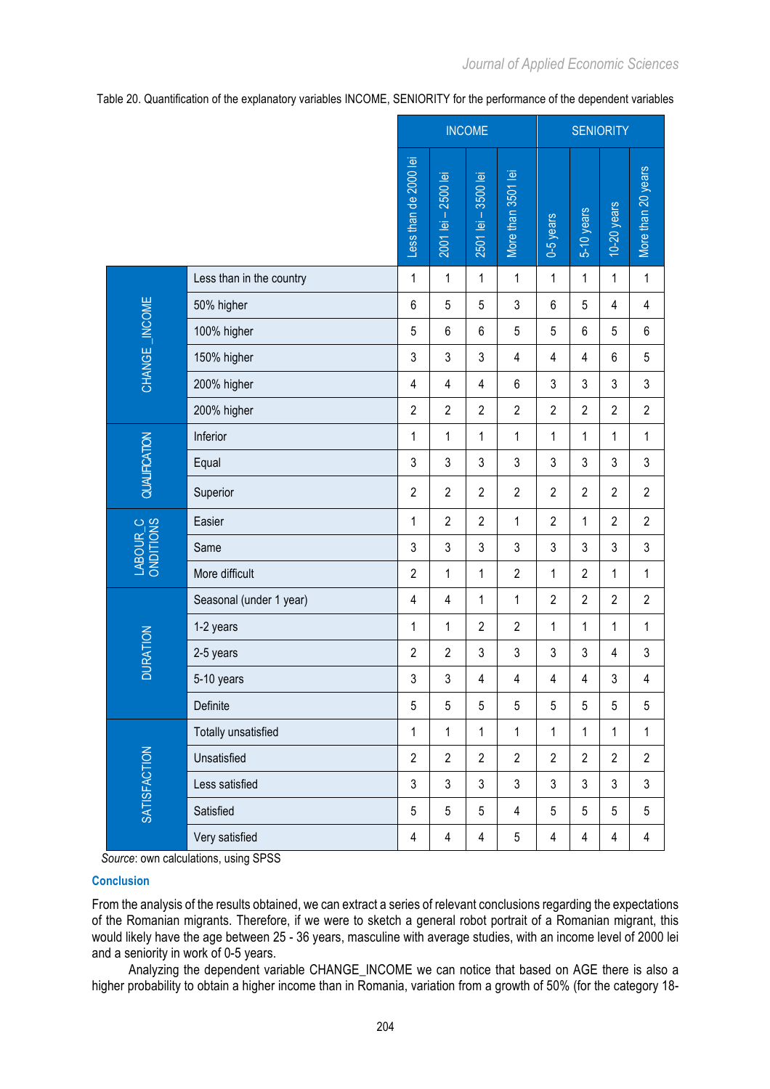Table 20. Quantification of the explanatory variables INCOME, SENIORITY for the performance of the dependent variables

|                       |                            | <b>INCOME</b>         |                     |                     |                    | <b>SENIORITY</b>        |                |                         |                         |  |
|-----------------------|----------------------------|-----------------------|---------------------|---------------------|--------------------|-------------------------|----------------|-------------------------|-------------------------|--|
|                       |                            | Less than de 2000 lei | 2001 lei - 2500 lei | 2501 lei - 3500 lei | More than 3501 lei | 0-5 years               | $5-10$ years   | $10-20$ years           | More than 20 years      |  |
|                       | Less than in the country   | 1                     | 1                   | $\mathbf{1}$        | $\mathbf 1$        | 1                       | 1              | $\mathbf{1}$            | $\mathbf 1$             |  |
|                       | 50% higher                 | $6\phantom{1}$        | 5                   | 5                   | $\mathfrak{Z}$     | 6                       | 5              | $\overline{\mathbf{4}}$ | $\overline{\mathbf{4}}$ |  |
|                       | 100% higher                | 5                     | 6                   | 6                   | $\sqrt{5}$         | 5                       | $6\phantom{a}$ | $\sqrt{5}$              | 6                       |  |
| CHANGE_INCOME         | 150% higher                | 3                     | $\mathfrak{S}$      | 3                   | $\overline{4}$     | $\overline{\mathbf{4}}$ | $\overline{4}$ | $\,6\,$                 | 5                       |  |
|                       | 200% higher                | 4                     | $\overline{4}$      | 4                   | $\,6\,$            | 3                       | 3              | 3                       | $\mathsf 3$             |  |
|                       | 200% higher                | $\overline{2}$        | $\overline{2}$      | $\overline{2}$      | $\overline{2}$     | $\overline{2}$          | $\overline{2}$ | $\overline{2}$          | $\overline{2}$          |  |
| QUALIFICATION         | Inferior                   | 1                     | $\mathbf{1}$        | 1                   | $\mathbf{1}$       | 1                       | 1              | $\mathbf{1}$            | 1                       |  |
|                       | Equal                      | 3                     | 3                   | 3                   | 3                  | 3                       | 3              | 3                       | $\mathsf 3$             |  |
|                       | Superior                   | $\overline{2}$        | $\overline{2}$      | $\overline{2}$      | $\overline{2}$     | $\overline{2}$          | $\overline{c}$ | $\overline{2}$          | $\sqrt{2}$              |  |
|                       | Easier                     | 1                     | $\overline{2}$      | $\overline{2}$      | 1                  | $\overline{2}$          | 1              | $\overline{2}$          | $\overline{2}$          |  |
| LABOUR_C<br>ONDITIONS | Same                       | 3                     | 3                   | 3                   | 3                  | 3                       | 3              | $\mathfrak{Z}$          | $\mathsf 3$             |  |
|                       | More difficult             | $\overline{2}$        | $\mathbf{1}$        | $\mathbf 1$         | $\overline{2}$     | 1                       | $\overline{2}$ | $\mathbf{1}$            | $\mathbf 1$             |  |
|                       | Seasonal (under 1 year)    | 4                     | $\overline{4}$      | $\mathbf 1$         | 1                  | $\overline{c}$          | $\overline{c}$ | $\overline{2}$          | $\overline{2}$          |  |
|                       | 1-2 years                  | 1                     | $\mathbf 1$         | $\overline{2}$      | $\mathbf{2}$       | 1                       | 1              | $\mathbf 1$             | 1                       |  |
| <b>DURATION</b>       | 2-5 years                  | $\overline{2}$        | $\overline{2}$      | 3                   | 3                  | 3                       | 3              | $\overline{\mathbf{4}}$ | 3                       |  |
|                       | 5-10 years                 | 3                     | 3                   | 4                   | $\overline{4}$     | 4                       | $\overline{4}$ | $\mathsf 3$             | 4                       |  |
|                       | Definite                   | 5                     | 5                   | $\sqrt{5}$          | $\sqrt{5}$         | 5                       | 5              | $\sqrt{5}$              | $\sqrt{5}$              |  |
| <b>SATISFACTION</b>   | <b>Totally unsatisfied</b> | $\mathbf{1}$          | $\mathbf{1}$        | $\mathbf{1}$        | $\mathbf{1}$       | $\mathbf{1}$            | $\mathbf{1}$   | $\mathbf{1}$            | $\mathbf{1}$            |  |
|                       | Unsatisfied                | $\overline{2}$        | $\overline{2}$      | $\overline{2}$      | $\overline{2}$     | $\overline{2}$          | $\overline{2}$ | $\overline{2}$          | $\overline{c}$          |  |
|                       | Less satisfied             | $\mathfrak{S}$        | $\mathfrak{Z}$      | $\mathfrak{S}$      | $\mathfrak{S}$     | 3                       | $\mathfrak{S}$ | $\mathfrak{S}$          | $\mathfrak{Z}$          |  |
|                       | Satisfied                  | 5                     | 5                   | 5                   | $\overline{4}$     | 5                       | 5              | $\sqrt{5}$              | 5                       |  |
|                       | Very satisfied             | 4                     | $\overline{4}$      | $\overline{4}$      | 5                  | 4                       | 4              | 4                       | $\overline{4}$          |  |

*Source*: own calculations, using SPSS

## **Conclusion**

From the analysis of the results obtained, we can extract a series of relevant conclusions regarding the expectations of the Romanian migrants. Therefore, if we were to sketch a general robot portrait of a Romanian migrant, this would likely have the age between 25 - 36 years, masculine with average studies, with an income level of 2000 lei and a seniority in work of 0-5 years.

Analyzing the dependent variable CHANGE\_INCOME we can notice that based on AGE there is also a higher probability to obtain a higher income than in Romania, variation from a growth of 50% (for the category 18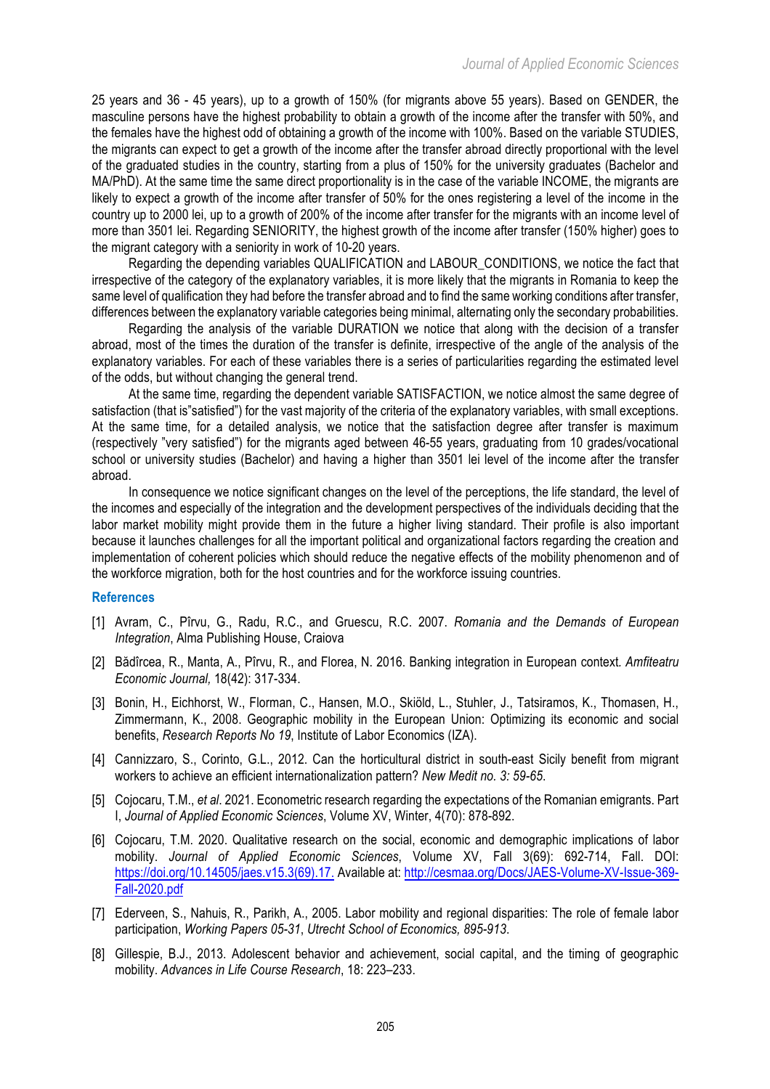25 years and 36 - 45 years), up to a growth of 150% (for migrants above 55 years). Based on GENDER, the masculine persons have the highest probability to obtain a growth of the income after the transfer with 50%, and the females have the highest odd of obtaining a growth of the income with 100%. Based on the variable STUDIES, the migrants can expect to get a growth of the income after the transfer abroad directly proportional with the level of the graduated studies in the country, starting from a plus of 150% for the university graduates (Bachelor and MA/PhD). At the same time the same direct proportionality is in the case of the variable INCOME, the migrants are likely to expect a growth of the income after transfer of 50% for the ones registering a level of the income in the country up to 2000 lei, up to a growth of 200% of the income after transfer for the migrants with an income level of more than 3501 lei. Regarding SENIORITY, the highest growth of the income after transfer (150% higher) goes to the migrant category with a seniority in work of 10-20 years.

Regarding the depending variables QUALIFICATION and LABOUR\_CONDITIONS, we notice the fact that irrespective of the category of the explanatory variables, it is more likely that the migrants in Romania to keep the same level of qualification they had before the transfer abroad and to find the same working conditions after transfer, differences between the explanatory variable categories being minimal, alternating only the secondary probabilities.

Regarding the analysis of the variable DURATION we notice that along with the decision of a transfer abroad, most of the times the duration of the transfer is definite, irrespective of the angle of the analysis of the explanatory variables. For each of these variables there is a series of particularities regarding the estimated level of the odds, but without changing the general trend.

At the same time, regarding the dependent variable SATISFACTION, we notice almost the same degree of satisfaction (that is"satisfied") for the vast majority of the criteria of the explanatory variables, with small exceptions. At the same time, for a detailed analysis, we notice that the satisfaction degree after transfer is maximum (respectively "very satisfied") for the migrants aged between 46-55 years, graduating from 10 grades/vocational school or university studies (Bachelor) and having a higher than 3501 lei level of the income after the transfer abroad.

In consequence we notice significant changes on the level of the perceptions, the life standard, the level of the incomes and especially of the integration and the development perspectives of the individuals deciding that the labor market mobility might provide them in the future a higher living standard. Their profile is also important because it launches challenges for all the important political and organizational factors regarding the creation and implementation of coherent policies which should reduce the negative effects of the mobility phenomenon and of the workforce migration, both for the host countries and for the workforce issuing countries.

### **References**

- [1] Avram, C., Pîrvu, G., Radu, R.C., and Gruescu, R.C. 2007. *Romania and the Demands of European Integration*, Alma Publishing House, Craiova
- [2] Bădîrcea, R., Manta, A., Pîrvu, R., and Florea, N. 2016. Banking integration in European context*. Amfiteatru Economic Journal,* 18(42): 317-334.
- [3] Bonin, H., Eichhorst, W., Florman, C., Hansen, M.O., Skiöld, L., Stuhler, J., Tatsiramos, K., Thomasen, H., Zimmermann, K., 2008. Geographic mobility in the European Union: Optimizing its economic and social benefits, *Research Reports No 19*, Institute of Labor Economics (IZA).
- [4] Cannizzaro, S., Corinto, G.L., 2012. Can the horticultural district in south-east Sicily benefit from migrant workers to achieve an efficient internationalization pattern? *New Medit no. 3: 59-65*.
- [5] Cojocaru, T.M., *et al*. 2021. Econometric research regarding the expectations of the Romanian emigrants. Part I, *Journal of Applied Economic Sciences*, Volume XV, Winter, 4(70): 878-892.
- [6] Cojocaru, T.M. 2020. Qualitative research on the social, economic and demographic implications of labor mobility. *Journal of Applied Economic Sciences*, Volume XV, Fall 3(69): 692-714, Fall. DOI: https://doi.org/10.14505/jaes.v15.3(69).17. Available at: http://cesmaa.org/Docs/JAES-Volume-XV-Issue-369- Fall-2020.pdf
- [7] Ederveen, S., Nahuis, R., Parikh, A., 2005. Labor mobility and regional disparities: The role of female labor participation, *Working Papers 05-31*, *Utrecht School of Economics, 895-913*.
- [8] Gillespie, B.J., 2013. Adolescent behavior and achievement, social capital, and the timing of geographic mobility. *Advances in Life Course Research*, 18: 223–233.